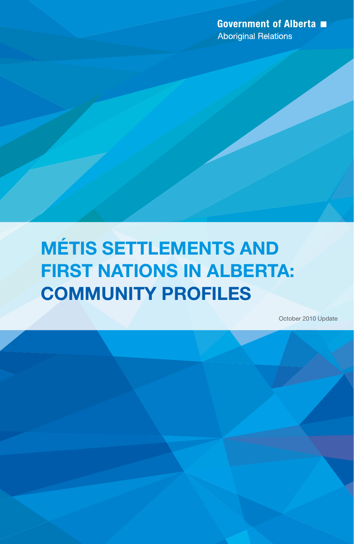**Government of Alberta** ■ **Aboriginal Relations** 

# Métis Settlements and **FIRST NATIONS IN ALBERTA:** Community Profiles

October 2010 Update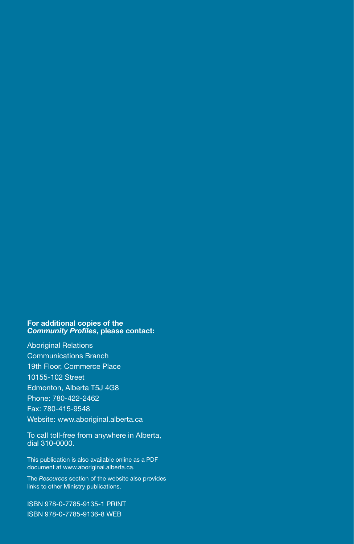#### For additional copies of the *Community Profiles*, please contact:

Aboriginal Relations Communications Branch 19th Floor, Commerce Place 10155-102 Street Edmonton, Alberta T5J 4G8 Phone: 780-422-2462 Fax: 780-415-9548 Website: www.aboriginal.alberta.ca

To call toll-free from anywhere in Alberta, dial 310-0000.

This publication is also available online as a PDF document at www.aboriginal.alberta.ca.

The *Resources* section of the website also provides links to other Ministry publications.

ISBN 978-0-7785-9135-1 PRINT ISBN 978-0-7785-9136-8 WEB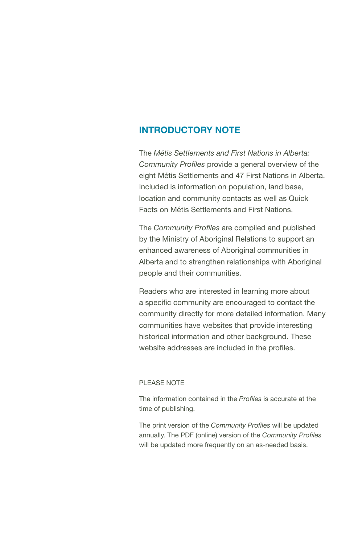#### Introductory Note

The *Métis Settlements and First Nations in Alberta: Community Profiles* provide a general overview of the eight Métis Settlements and 47 First Nations in Alberta. Included is information on population, land base, location and community contacts as well as Quick Facts on Métis Settlements and First Nations.

The *Community Profiles* are compiled and published by the Ministry of Aboriginal Relations to support an enhanced awareness of Aboriginal communities in Alberta and to strengthen relationships with Aboriginal people and their communities.

Readers who are interested in learning more about a specific community are encouraged to contact the community directly for more detailed information. Many communities have websites that provide interesting historical information and other background. These website addresses are included in the profiles.

#### PLEASE NOTE

The information contained in the *Profiles* is accurate at the time of publishing.

The print version of the *Community Profiles* will be updated annually. The PDF (online) version of the *Community Profiles* will be updated more frequently on an as-needed basis.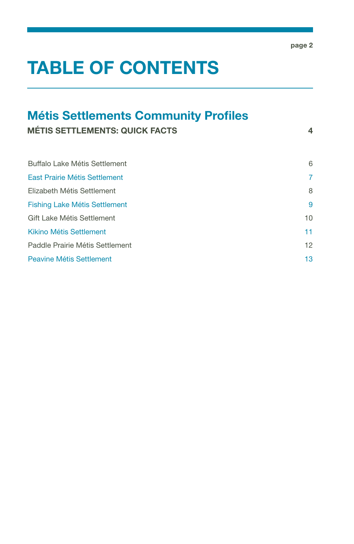# TABLE OF CONTENTS

# Métis Settlements Community Profiles

MÉTIS SETTLEMENTS: QUICK FACTS 4

| Buffalo Lake Métis Settlement        | 6  |
|--------------------------------------|----|
| East Prairie Métis Settlement        | 7  |
| Elizabeth Métis Settlement           | 8  |
| <b>Fishing Lake Métis Settlement</b> | 9  |
| Gift Lake Métis Settlement           | 10 |
| Kikino Métis Settlement              | 11 |
| Paddle Prairie Métis Settlement      | 12 |
| Peavine Métis Settlement             | 13 |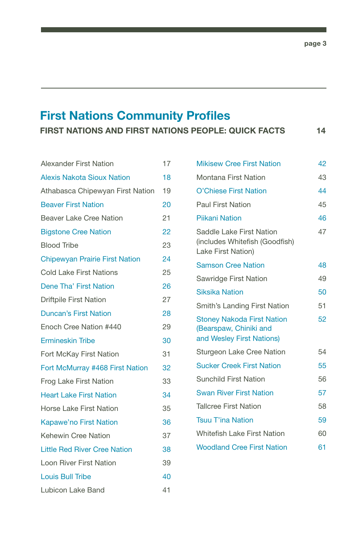# First Nations Community Profiles

FIRST NATIONS AND FIRST NATIONS PEOPLE: QUICK FACTS 14

| <b>Alexander First Nation</b>         | 17 |
|---------------------------------------|----|
| <b>Alexis Nakota Sioux Nation</b>     | 18 |
| Athabasca Chipewyan First Nation      | 19 |
| <b>Beaver First Nation</b>            | 20 |
| <b>Beaver Lake Cree Nation</b>        | 21 |
| <b>Bigstone Cree Nation</b>           | 22 |
| <b>Blood Tribe</b>                    | 23 |
| <b>Chipewyan Prairie First Nation</b> | 24 |
| <b>Cold Lake First Nations</b>        | 25 |
| Dene Tha' First Nation                | 26 |
| <b>Driftpile First Nation</b>         | 27 |
| <b>Duncan's First Nation</b>          | 28 |
| Enoch Cree Nation #440                | 29 |
| <b>Ermineskin Tribe</b>               | 30 |
| Fort McKay First Nation               | 31 |
| Fort McMurray #468 First Nation       | 32 |
| Frog Lake First Nation                | 33 |
| <b>Heart Lake First Nation</b>        | 34 |
| Horse Lake First Nation               | 35 |
| <b>Kapawe'no First Nation</b>         | 36 |
| <b>Kehewin Cree Nation</b>            | 37 |
| <b>Little Red River Cree Nation</b>   | 38 |
| Loon River First Nation               | 39 |
| <b>Louis Bull Tribe</b>               | 40 |
| Lubicon Lake Band                     | 41 |

| <b>Mikisew Cree First Nation</b>                                                         | 42 |
|------------------------------------------------------------------------------------------|----|
| Montana First Nation                                                                     | 43 |
| O'Chiese First Nation                                                                    | 44 |
| <b>Paul First Nation</b>                                                                 | 45 |
| <b>Piikani Nation</b>                                                                    | 46 |
| Saddle Lake First Nation<br>(includes Whitefish (Goodfish)<br>Lake First Nation)         | 47 |
| <b>Samson Cree Nation</b>                                                                | 48 |
| Sawridge First Nation                                                                    | 49 |
| <b>Siksika Nation</b>                                                                    | 50 |
| Smith's Landing First Nation                                                             | 51 |
| <b>Stoney Nakoda First Nation</b><br>(Bearspaw, Chiniki and<br>and Wesley First Nations) | 52 |
| Sturgeon Lake Cree Nation                                                                | 54 |
| <b>Sucker Creek First Nation</b>                                                         | 55 |
| <b>Sunchild First Nation</b>                                                             | 56 |
| <b>Swan River First Nation</b>                                                           | 57 |
| <b>Tallcree First Nation</b>                                                             | 58 |
| <b>Tsuu T'ina Nation</b>                                                                 | 59 |
| <b>Whitefish Lake First Nation</b>                                                       | 60 |
| <b>Woodland Cree First Nation</b>                                                        | 61 |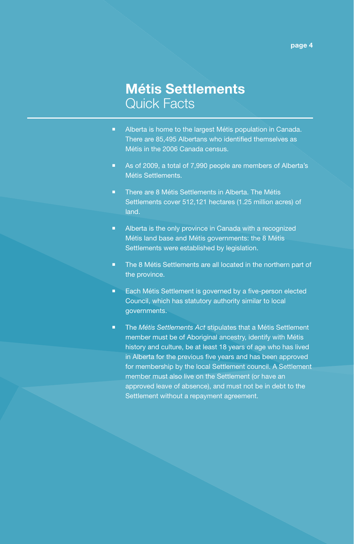# Métis Settlements Quick Facts

- **Alberta is home to the largest Métis population in Canada.** There are 85,495 Albertans who identified themselves as Métis in the 2006 Canada census.
- As of 2009, a total of 7,990 people are members of Alberta's Métis Settlements.
- **There are 8 Métis Settlements in Alberta. The Métis** Settlements cover 512,121 hectares (1.25 million acres) of land.
- **Alberta is the only province in Canada with a recognized** Métis land base and Métis governments: the 8 Métis Settlements were established by legislation.
- The 8 Métis Settlements are all located in the northern part of the province.
- **Each Métis Settlement is governed by a five-person elected** Council, which has statutory authority similar to local governments.
- **The Métis Settlements Act stipulates that a Métis Settlement** member must be of Aboriginal ancestry, identify with Métis history and culture, be at least 18 years of age who has lived in Alberta for the previous five years and has been approved for membership by the local Settlement council. A Settlement member must also live on the Settlement (or have an approved leave of absence), and must not be in debt to the Settlement without a repayment agreement.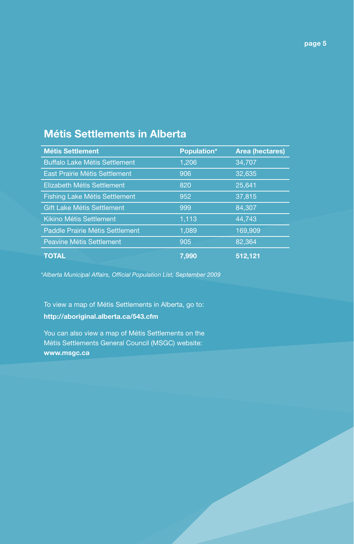### Métis Settlements in Alberta

| <b>Métis Settlement</b>              | Population* | <b>Area (hectares)</b> |
|--------------------------------------|-------------|------------------------|
| <b>Buffalo Lake Métis Settlement</b> | 1,206       | 34,707                 |
| East Prairie Métis Settlement        | 906         | 32,635                 |
| Elizabeth Métis Settlement           | 820         | 25,641                 |
| Fishing Lake Métis Settlement        | 952         | 37,815                 |
| <b>Gift Lake Métis Settlement</b>    | 999         | 84,307                 |
| <b>Kikino Métis Settlement</b>       | 1,113       | 44,743                 |
| Paddle Prairie Métis Settlement      | 1,089       | 169,909                |
| <b>Peavine Métis Settlement</b>      | 905         | 82,364                 |
| <b>TOTAL</b>                         | 7,990       | 512,121                |

*\*Alberta Municipal Affairs, Official Population List, September 2009*

To view a map of Métis Settlements in Alberta, go to: http://aboriginal.alberta.ca/543.cfm

You can also view a map of Métis Settlements on the Métis Settlements General Council (MSGC) website: www.msgc.ca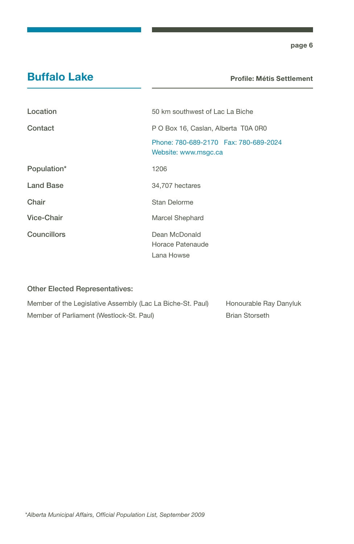### Buffalo Lake

Profile: Métis Settlement

| Location           | 50 km southwest of Lac La Biche                                  |
|--------------------|------------------------------------------------------------------|
| Contact            | P O Box 16, Caslan, Alberta T0A 0R0                              |
|                    | Phone: 780-689-2170    Fax: 780-689-2024<br>Website: www.msgc.ca |
| Population*        | 1206                                                             |
| <b>Land Base</b>   | 34,707 hectares                                                  |
| Chair              | Stan Delorme                                                     |
| Vice-Chair         | <b>Marcel Shephard</b>                                           |
| <b>Councillors</b> | Dean McDonald<br>Horace Patenaude<br>Lana Howse                  |

| Member of the Legislative Assembly (Lac La Biche-St. Paul) | Honourable Ray Danyluk |
|------------------------------------------------------------|------------------------|
| Member of Parliament (Westlock-St. Paul)                   | <b>Brian Storseth</b>  |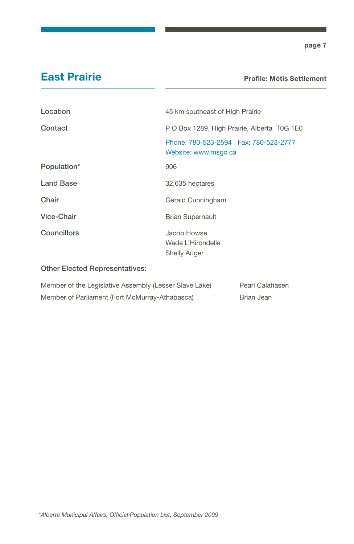### East Prairie

#### Profile: Métis Settlement

| Location         | 45 km southeast of High Prairie                                |
|------------------|----------------------------------------------------------------|
| Contact          | P O Box 1289, High Prairie, Alberta T0G 1E0                    |
|                  | Phone: 780-523-2594  Fax: 780-523-2777<br>Website: www.msgc.ca |
| Population*      | 906                                                            |
| <b>Land Base</b> | 32,635 hectares                                                |
| Chair            | Gerald Cunningham                                              |
| Vice-Chair       | <b>Brian Supernault</b>                                        |
| Councillors      | Jacob Howse<br>Wade L'Hirondelle<br><b>Shelly Auger</b>        |

| Member of the Legislative Assembly (Lesser Slave Lake) | Pearl Calahasen |
|--------------------------------------------------------|-----------------|
| Member of Parliament (Fort McMurray-Athabasca)         | Brian Jean      |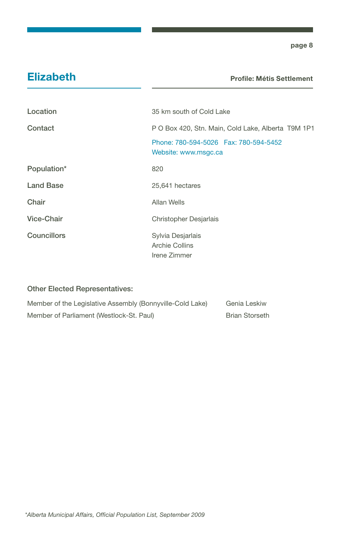### Elizabeth

Profile: Métis Settlement

| Location           | 35 km south of Cold Lake                                       |
|--------------------|----------------------------------------------------------------|
| Contact            | P O Box 420, Stn. Main, Cold Lake, Alberta T9M 1P1             |
|                    | Phone: 780-594-5026  Fax: 780-594-5452<br>Website: www.msgc.ca |
| Population*        | 820                                                            |
| <b>Land Base</b>   | 25,641 hectares                                                |
| Chair              | Allan Wells                                                    |
| Vice-Chair         | Christopher Desjarlais                                         |
| <b>Councillors</b> | Sylvia Desjarlais<br>Archie Collins<br>Irene Zimmer            |

| Member of the Legislative Assembly (Bonnyville-Cold Lake) | Genia Leskiw          |
|-----------------------------------------------------------|-----------------------|
| Member of Parliament (Westlock-St. Paul)                  | <b>Brian Storseth</b> |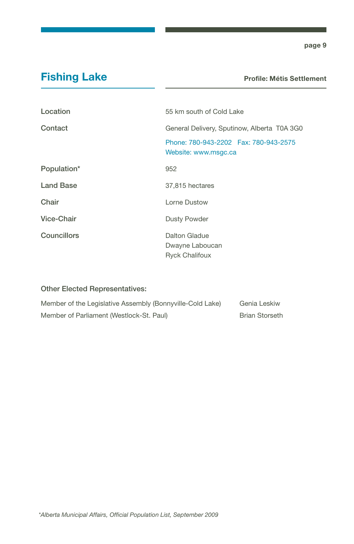## Fishing Lake

Profile: Métis Settlement

| Location         | 55 km south of Cold Lake                                         |
|------------------|------------------------------------------------------------------|
| Contact          | General Delivery, Sputinow, Alberta T0A 3G0                      |
|                  | Phone: 780-943-2202    Fax: 780-943-2575<br>Website: www.msgc.ca |
| Population*      | 952                                                              |
| <b>Land Base</b> | 37,815 hectares                                                  |
| Chair            | Lorne Dustow                                                     |
| Vice-Chair       | Dusty Powder                                                     |
| Councillors      | Dalton Gladue<br>Dwayne Laboucan<br><b>Ryck Chalifoux</b>        |

| Member of the Legislative Assembly (Bonnyville-Cold Lake) | Genia Leskiw   |
|-----------------------------------------------------------|----------------|
| Member of Parliament (Westlock-St. Paul)                  | Brian Storseth |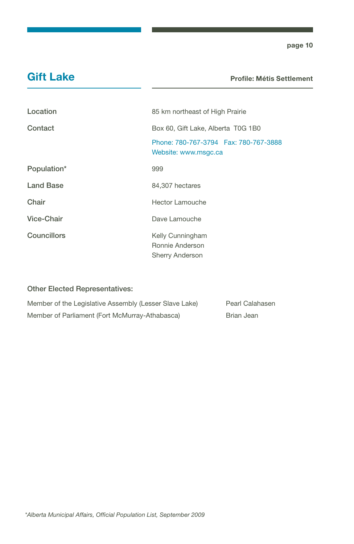### Gift Lake

Profile: Métis Settlement

| Location    | 85 km northeast of High Prairie                                  |
|-------------|------------------------------------------------------------------|
| Contact     | Box 60, Gift Lake, Alberta T0G 1B0                               |
|             | Phone: 780-767-3794    Fax: 780-767-3888<br>Website: www.msgc.ca |
| Population* | 999                                                              |
| Land Base   | 84,307 hectares                                                  |
| Chair       | Hector Lamouche                                                  |
| Vice-Chair  | Dave Lamouche                                                    |
| Councillors | Kelly Cunningham<br>Ronnie Anderson<br><b>Sherry Anderson</b>    |

| Member of the Legislative Assembly (Lesser Slave Lake) | Pearl Calahasen |
|--------------------------------------------------------|-----------------|
| Member of Parliament (Fort McMurray-Athabasca)         | Brian Jean      |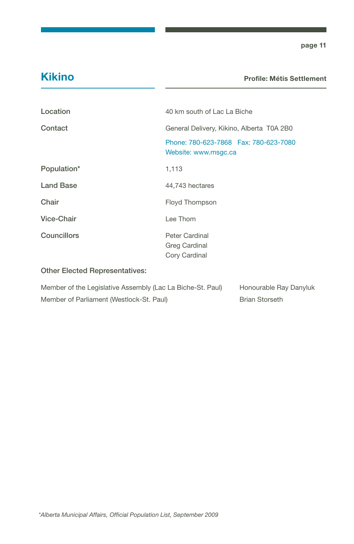### Kikino

#### Profile: Métis Settlement

| Location                              | 40 km south of Lac La Biche                                    |
|---------------------------------------|----------------------------------------------------------------|
| Contact                               | General Delivery, Kikino, Alberta T0A 2B0                      |
|                                       | Phone: 780-623-7868  Fax: 780-623-7080<br>Website: www.msgc.ca |
| Population*                           | 1,113                                                          |
| <b>Land Base</b>                      | 44,743 hectares                                                |
| Chair                                 | Floyd Thompson                                                 |
| Vice-Chair                            | Lee Thom                                                       |
| <b>Councillors</b>                    | Peter Cardinal<br>Greg Cardinal<br>Cory Cardinal               |
| <b>Other Elected Representatives:</b> |                                                                |

| Member of the Legislative Assembly (Lac La Biche-St. Paul) |  | Honourable Ray Danyluk |
|------------------------------------------------------------|--|------------------------|
| Member of Parliament (Westlock-St. Paul)                   |  | <b>Brian Storseth</b>  |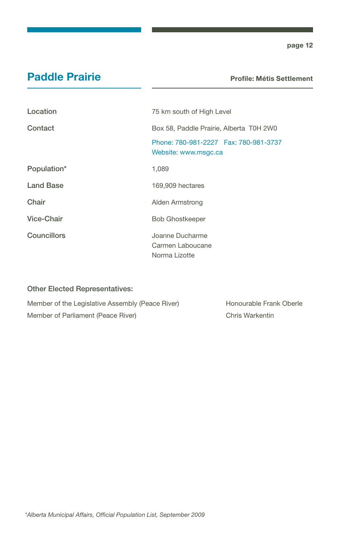### Paddle Prairie

Profile: Métis Settlement

| Location           | 75 km south of High Level                                        |
|--------------------|------------------------------------------------------------------|
| Contact            | Box 58, Paddle Prairie, Alberta T0H 2W0                          |
|                    | Phone: 780-981-2227    Fax: 780-981-3737<br>Website: www.msgc.ca |
| Population*        | 1,089                                                            |
| <b>Land Base</b>   | 169,909 hectares                                                 |
| Chair              | Alden Armstrong                                                  |
| Vice-Chair         | <b>Bob Ghostkeeper</b>                                           |
| <b>Councillors</b> | Joanne Ducharme<br>Carmen Laboucane<br>Norma Lizotte             |

#### Other Elected Representatives:

Member of the Legislative Assembly (Peace River) Honourable Frank Oberle Member of Parliament (Peace River) Chris Warkentin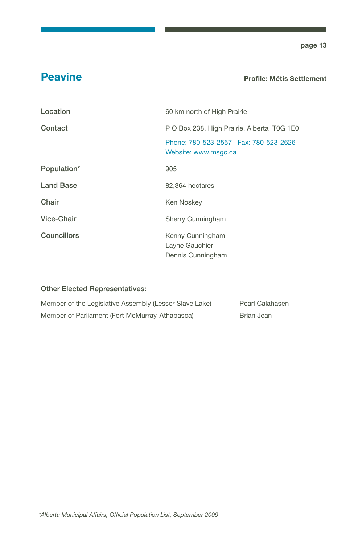### **Peavine**

#### Profile: Métis Settlement

| Location           | 60 km north of High Prairie                                      |
|--------------------|------------------------------------------------------------------|
| Contact            | P O Box 238, High Prairie, Alberta T0G 1E0                       |
|                    | Phone: 780-523-2557    Fax: 780-523-2626<br>Website: www.msgc.ca |
| Population*        | 905                                                              |
| <b>Land Base</b>   | 82,364 hectares                                                  |
| Chair              | Ken Noskey                                                       |
| Vice-Chair         | Sherry Cunningham                                                |
| <b>Councillors</b> | Kenny Cunningham<br>Layne Gauchier<br>Dennis Cunningham          |

| Member of the Legislative Assembly (Lesser Slave Lake) | Pearl Calahasen |
|--------------------------------------------------------|-----------------|
| Member of Parliament (Fort McMurray-Athabasca)         | Brian Jean      |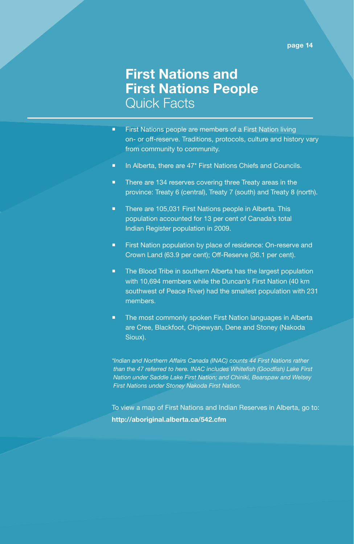# First Nations and First Nations People Quick Facts

- **First Nations people are members of a First Nation living** on- or off-reserve. Traditions, protocols, culture and history vary from community to community.
- **In Alberta, there are 47<sup>\*</sup> First Nations Chiefs and Councils.**
- There are 134 reserves covering three Treaty areas in the province: Treaty 6 (central), Treaty 7 (south) and Treaty 8 (north).
- **There are 105,031 First Nations people in Alberta. This** population accounted for 13 per cent of Canada's total Indian Register population in 2009.
- **First Nation population by place of residence: On-reserve and** Crown Land (63.9 per cent); Off-Reserve (36.1 per cent).
- **The Blood Tribe in southern Alberta has the largest population** with 10,694 members while the Duncan's First Nation (40 km southwest of Peace River) had the smallest population with 231 members.
- The most commonly spoken First Nation languages in Alberta are Cree, Blackfoot, Chipewyan, Dene and Stoney (Nakoda Sioux).

*\*Indian and Northern Affairs Canada (INAC) counts 44 First Nations rather than the 47 referred to here. INAC includes Whitefish (Goodfish) Lake First Nation under Saddle Lake First Nation; and Chiniki, Bearspaw and Welsey First Nations under Stoney Nakoda First Nation.*

To view a map of First Nations and Indian Reserves in Alberta, go to: http://aboriginal.alberta.ca/542.cfm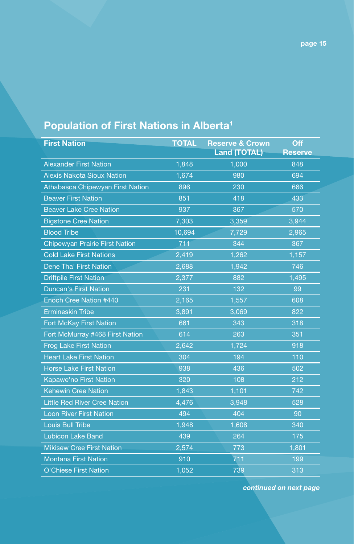# Population of First Nations in Alberta<sup>1</sup>

| <b>First Nation</b>                   | <b>TOTAL</b> | <b>Reserve &amp; Crown</b><br><b>Land (TOTAL)</b> | Off<br><b>Reserve</b> |
|---------------------------------------|--------------|---------------------------------------------------|-----------------------|
| <b>Alexander First Nation</b>         | 1,848        | 1,000                                             | 848                   |
| <b>Alexis Nakota Sioux Nation</b>     | 1,674        | 980                                               | 694                   |
| Athabasca Chipewyan First Nation      | 896          | 230                                               | 666                   |
| <b>Beaver First Nation</b>            | 851          | 418                                               | 433                   |
| <b>Beaver Lake Cree Nation</b>        | 937          | 367                                               | 570                   |
| <b>Bigstone Cree Nation</b>           | 7,303        | 3,359                                             | 3,944                 |
| <b>Blood Tribe</b>                    | 10,694       | 7,729                                             | 2,965                 |
| <b>Chipewyan Prairie First Nation</b> | 711          | 344                                               | 367                   |
| <b>Cold Lake First Nations</b>        | 2,419        | 1,262                                             | 1,157                 |
| Dene Tha' First Nation                | 2,688        | 1,942                                             | 746                   |
| <b>Driftpile First Nation</b>         | 2,377        | 882                                               | 1,495                 |
| <b>Duncan's First Nation</b>          | 231          | 132                                               | 99                    |
| Enoch Cree Nation #440                | 2,165        | 1,557                                             | 608                   |
| <b>Ermineskin Tribe</b>               | 3,891        | 3,069                                             | 822                   |
| Fort McKay First Nation               | 661          | 343                                               | 318                   |
| Fort McMurray #468 First Nation       | 614          | 263                                               | 351                   |
| <b>Frog Lake First Nation</b>         | 2,642        | 1,724                                             | 918                   |
| <b>Heart Lake First Nation</b>        | 304          | 194                                               | 110                   |
| <b>Horse Lake First Nation</b>        | 938          | 436                                               | 502                   |
| Kapawe'no First Nation                | 320          | 108                                               | 212                   |
| <b>Kehewin Cree Nation</b>            | 1,843        | 1,101                                             | 742                   |
| <b>Little Red River Cree Nation</b>   | 4,476        | 3,948                                             | 528                   |
| <b>Loon River First Nation</b>        | 494          | 404                                               | 90                    |
| <b>Louis Bull Tribe</b>               | 1,948        | 1,608                                             | 340                   |
| <b>Lubicon Lake Band</b>              | 439          | 264                                               | 175                   |
| <b>Mikisew Cree First Nation</b>      | 2,574        | 773                                               | 1,801                 |
| <b>Montana First Nation</b>           | 910          | 711                                               | 199                   |
| <b>O'Chiese First Nation</b>          | 1,052        | 739                                               | 313                   |

*continued on next page*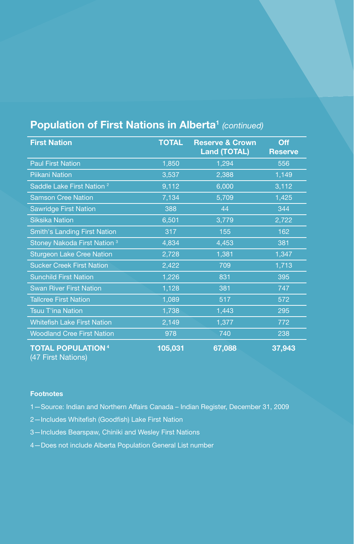| <b>First Nation</b>                             | <b>TOTAL</b> | <b>Reserve &amp; Crown</b><br><b>Land (TOTAL)</b> | <b>Off</b><br><b>Reserve</b> |
|-------------------------------------------------|--------------|---------------------------------------------------|------------------------------|
| <b>Paul First Nation</b>                        | 1,850        | 1,294                                             | 556                          |
| <b>Piikani Nation</b>                           | 3,537        | 2,388                                             | 1,149                        |
| Saddle Lake First Nation <sup>2</sup>           | 9,112        | 6,000                                             | 3,112                        |
| <b>Samson Cree Nation</b>                       | 7,134        | 5,709                                             | 1,425                        |
| <b>Sawridge First Nation</b>                    | 388          | 44                                                | 344                          |
| <b>Siksika Nation</b>                           | 6,501        | 3,779                                             | 2,722                        |
| <b>Smith's Landing First Nation</b>             | 317          | 155                                               | 162                          |
| Stoney Nakoda First Nation <sup>3</sup>         | 4,834        | 4,453                                             | 381                          |
| <b>Sturgeon Lake Cree Nation</b>                | 2,728        | 1,381                                             | 1,347                        |
| <b>Sucker Creek First Nation</b>                | 2,422        | 709                                               | 1,713                        |
| <b>Sunchild First Nation</b>                    | 1,226        | 831                                               | 395                          |
| <b>Swan River First Nation</b>                  | 1,128        | 381                                               | 747                          |
| <b>Tallcree First Nation</b>                    | 1,089        | 517                                               | 572                          |
| <b>Tsuu T'ina Nation</b>                        | 1,738        | 1,443                                             | 295                          |
| <b>Whitefish Lake First Nation</b>              | 2,149        | 1,377                                             | 772                          |
| <b>Woodland Cree First Nation</b>               | 978          | 740                                               | 238                          |
| <b>TOTAL POPULATION 4</b><br>(47 First Nations) | 105,031      | 67,088                                            | 37,943                       |

### Population of First Nations in Alberta1 *(continued)*

#### **Footnotes**

- 1—Source: Indian and Northern Affairs Canada Indian Register, December 31, 2009
- 2—Includes Whitefish (Goodfish) Lake First Nation
- 3—Includes Bearspaw, Chiniki and Wesley First Nations
- 4—Does not include Alberta Population General List number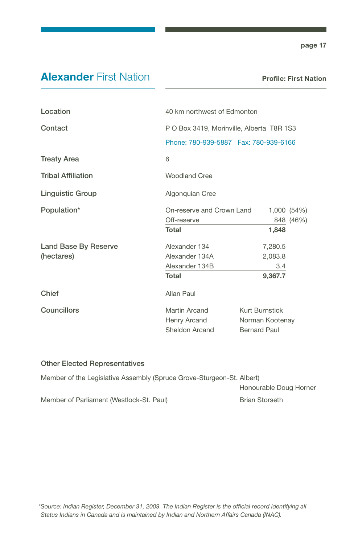### Alexander First Nation

Profile: First Nation

| Location                  |                               | 40 km northwest of Edmonton                                                         |             |  |
|---------------------------|-------------------------------|-------------------------------------------------------------------------------------|-------------|--|
|                           |                               |                                                                                     |             |  |
| Contact                   |                               | P O Box 3419, Morinville, Alberta T8R 1S3<br>Phone: 780-939-5887  Fax: 780-939-6166 |             |  |
|                           |                               |                                                                                     |             |  |
| <b>Treaty Area</b>        | 6                             |                                                                                     |             |  |
| <b>Tribal Affiliation</b> | <b>Woodland Cree</b>          |                                                                                     |             |  |
| <b>Linguistic Group</b>   | Algonquian Cree               |                                                                                     |             |  |
| Population*               | On-reserve and Crown Land     |                                                                                     | 1,000 (54%) |  |
|                           | Off-reserve                   |                                                                                     | 848 (46%)   |  |
|                           | Total                         | 1,848                                                                               |             |  |
| Land Base By Reserve      | Alexander 134                 | 7,280.5                                                                             |             |  |
| (hectares)                | Alexander 134A                | 2,083.8                                                                             |             |  |
|                           | Alexander 134B                | 3.4                                                                                 |             |  |
|                           | Total                         | 9,367.7                                                                             |             |  |
| Chief                     | Allan Paul                    |                                                                                     |             |  |
| Councillors               | Martin Arcand<br>Henry Arcand | <b>Kurt Burnstick</b><br>Norman Kootenay                                            |             |  |
|                           | Sheldon Arcand                | <b>Bernard Paul</b>                                                                 |             |  |

| Member of the Legislative Assembly (Spruce Grove-Sturgeon-St. Albert) |                        |
|-----------------------------------------------------------------------|------------------------|
|                                                                       | Honourable Doug Horner |
| Member of Parliament (Westlock-St. Paul)                              | <b>Brian Storseth</b>  |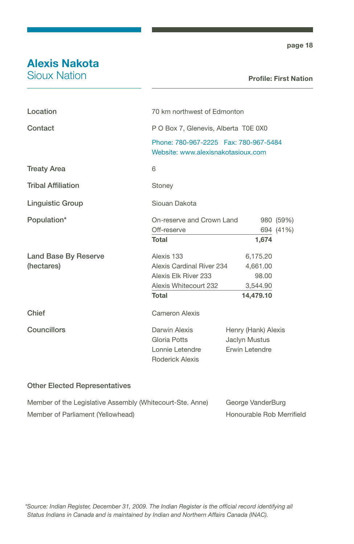### Alexis Nakota

Sioux Nation

#### Profile: First Nation

| Location                  | 70 km northwest of Edmonton                                                    |                     |           |
|---------------------------|--------------------------------------------------------------------------------|---------------------|-----------|
| Contact                   | P O Box 7, Glenevis, Alberta T0E 0X0                                           |                     |           |
|                           | Phone: 780-967-2225    Fax: 780-967-5484<br>Website: www.alexisnakotasioux.com |                     |           |
| <b>Treaty Area</b>        | 6                                                                              |                     |           |
| <b>Tribal Affiliation</b> | Stoney                                                                         |                     |           |
| <b>Linguistic Group</b>   | Siouan Dakota                                                                  |                     |           |
| Population*               | On-reserve and Crown Land<br>980 (59%)                                         |                     |           |
|                           | Off-reserve                                                                    |                     | 694 (41%) |
|                           | <b>Total</b>                                                                   | 1,674               |           |
| Land Base By Reserve      | Alexis 133                                                                     | 6,175.20            |           |
| (hectares)                | Alexis Cardinal River 234                                                      | 4,661.00            |           |
|                           | Alexis Elk River 233                                                           | 98.00               |           |
|                           | Alexis Whitecourt 232                                                          | 3,544.90            |           |
|                           | Total                                                                          | 14,479.10           |           |
| Chief                     | Cameron Alexis                                                                 |                     |           |
| Councillors               | Darwin Alexis                                                                  | Henry (Hank) Alexis |           |
|                           | Gloria Potts                                                                   | Jaclyn Mustus       |           |
|                           | Lonnie Letendre                                                                | Erwin Letendre      |           |
|                           | <b>Roderick Alexis</b>                                                         |                     |           |
|                           |                                                                                |                     |           |

| Member of the Legislative Assembly (Whitecourt-Ste. Anne) | George VanderBurg         |
|-----------------------------------------------------------|---------------------------|
| Member of Parliament (Yellowhead)                         | Honourable Rob Merrifield |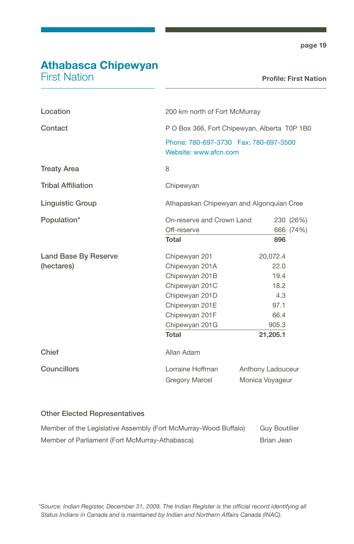# Athabasca Chipewyan

First Nation

| Location                  | 200 km north of Fort McMurray                                   |                   |           |
|---------------------------|-----------------------------------------------------------------|-------------------|-----------|
| Contact                   | P O Box 366, Fort Chipewyan, Alberta T0P 1B0                    |                   |           |
|                           | Phone: 780-697-3730  Fax: 780-697-3500<br>Website: www.afcn.com |                   |           |
| <b>Treaty Area</b>        | 8                                                               |                   |           |
| <b>Tribal Affiliation</b> | Chipewyan                                                       |                   |           |
| <b>Linguistic Group</b>   | Athapaskan Chipewyan and Algonquian Cree                        |                   |           |
| Population*               | On-reserve and Crown Land                                       |                   | 230 (26%) |
|                           | Off-reserve                                                     |                   | 666 (74%) |
|                           | <b>Total</b>                                                    | 896               |           |
| Land Base By Reserve      | Chipewyan 201                                                   | 20,072.4          |           |
| (hectares)                | Chipewyan 201A                                                  | 22.0              |           |
|                           | Chipewyan 201B                                                  | 19.4              |           |
|                           | Chipewyan 201C                                                  | 18.2              |           |
|                           | Chipewyan 201D                                                  | 4.3               |           |
|                           | Chipewyan 201E                                                  | 97.1              |           |
|                           | Chipewyan 201F                                                  | 66.4              |           |
|                           | Chipewyan 201G                                                  | 905.3             |           |
|                           | Total                                                           | 21,205.1          |           |
| Chief                     | Allan Adam                                                      |                   |           |
| Councillors               | Lorraine Hoffman                                                | Anthony Ladouceur |           |
|                           | Gregory Marcel                                                  | Monica Voyageur   |           |

| Member of the Legislative Assembly (Fort McMurray-Wood Buffalo) | <b>Guy Boutilier</b> |
|-----------------------------------------------------------------|----------------------|
| Member of Parliament (Fort McMurray-Athabasca)                  | Brian Jean           |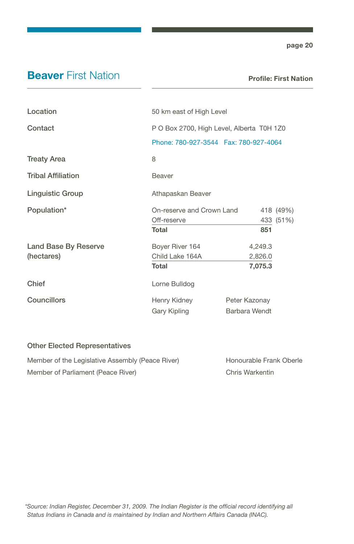### **Beaver First Nation**

Profile: First Nation

| Location                  | 50 km east of High Level                  |               |           |
|---------------------------|-------------------------------------------|---------------|-----------|
| Contact                   | P O Box 2700, High Level, Alberta T0H 1Z0 |               |           |
|                           | Phone: 780-927-3544    Fax: 780-927-4064  |               |           |
| <b>Treaty Area</b>        | 8                                         |               |           |
| <b>Tribal Affiliation</b> | <b>Beaver</b>                             |               |           |
| <b>Linguistic Group</b>   | Athapaskan Beaver                         |               |           |
| Population*               | On-reserve and Crown Land                 |               | 418 (49%) |
|                           | Off-reserve                               |               | 433 (51%) |
|                           | Total                                     | 851           |           |
| Land Base By Reserve      | Boyer River 164                           | 4,249.3       |           |
| (hectares)                | Child Lake 164A                           | 2,826.0       |           |
|                           | Total                                     | 7,075.3       |           |
| Chief                     | Lorne Bulldog                             |               |           |
| <b>Councillors</b>        | Henry Kidney                              | Peter Kazonay |           |
|                           | Gary Kipling                              | Barbara Wendt |           |

| Member of the Legislative Assembly (Peace River) | Honourable Frank Oberle |
|--------------------------------------------------|-------------------------|
| Member of Parliament (Peace River)               | Chris Warkentin         |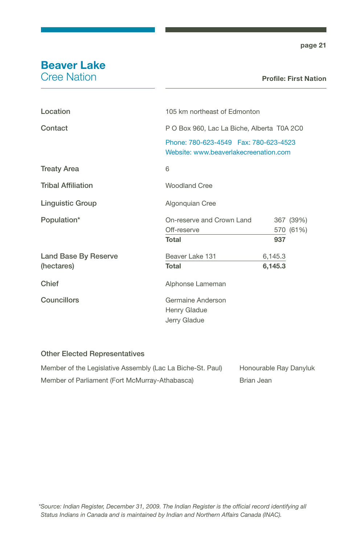# Beaver Lake

Cree Nation

| Location                    | 105 km northeast of Edmonton                                                      |         |           |
|-----------------------------|-----------------------------------------------------------------------------------|---------|-----------|
| Contact                     | P O Box 960, Lac La Biche, Alberta T0A 2C0                                        |         |           |
|                             | Phone: 780-623-4549    Fax: 780-623-4523<br>Website: www.beaverlakecreenation.com |         |           |
| <b>Treaty Area</b>          | 6                                                                                 |         |           |
| <b>Tribal Affiliation</b>   | <b>Woodland Cree</b>                                                              |         |           |
| <b>Linguistic Group</b>     | Algonquian Cree                                                                   |         |           |
| Population*                 | On-reserve and Crown Land                                                         |         | 367 (39%) |
|                             | Off-reserve                                                                       |         | 570 (61%) |
|                             | Total                                                                             | 937     |           |
| <b>Land Base By Reserve</b> | Beaver Lake 131                                                                   | 6,145.3 |           |
| (hectares)                  | Total                                                                             | 6,145.3 |           |
| Chief                       | Alphonse Lameman                                                                  |         |           |
| <b>Councillors</b>          | Germaine Anderson<br>Henry Gladue<br>Jerry Gladue                                 |         |           |

| Member of the Legislative Assembly (Lac La Biche-St. Paul) | Honourable Ray Danyluk |
|------------------------------------------------------------|------------------------|
| Member of Parliament (Fort McMurray-Athabasca)             | Brian Jean             |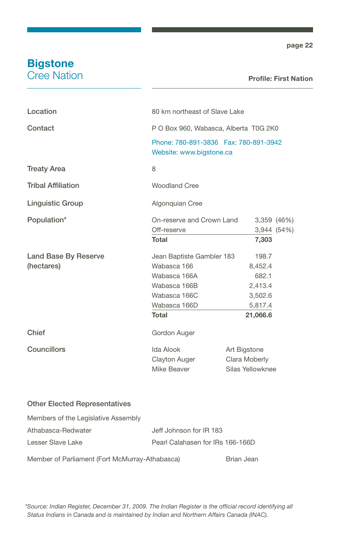### **Bigstone** Cree Nation

page 22

#### Profile: First Nation

| Location                  | 80 km northeast of Slave Lake                                      |                  |
|---------------------------|--------------------------------------------------------------------|------------------|
| Contact                   | P O Box 960, Wabasca, Alberta T0G 2K0                              |                  |
|                           | Phone: 780-891-3836  Fax: 780-891-3942<br>Website: www.bigstone.ca |                  |
| <b>Treaty Area</b>        | 8                                                                  |                  |
| <b>Tribal Affiliation</b> | <b>Woodland Cree</b>                                               |                  |
| <b>Linguistic Group</b>   | Algonquian Cree                                                    |                  |
| Population*               | On-reserve and Crown Land                                          | $3,359$ $(46\%)$ |
|                           | Off-reserve                                                        | 3,944(54%)       |
|                           | <b>Total</b>                                                       | 7,303            |
| Land Base By Reserve      | Jean Baptiste Gambler 183                                          | 198.7            |
| (hectares)                | Wabasca 166                                                        | 8,452.4          |
|                           | Wabasca 166A                                                       | 682.1            |
|                           | Wabasca 166B                                                       | 2,413.4          |
|                           | Wabasca 166C                                                       | 3,502.6          |
|                           | Wabasca 166D                                                       | 5,817.4          |
|                           | <b>Total</b>                                                       | 21,066.6         |
| Chief                     | Gordon Auger                                                       |                  |
| Councillors               | Ida Alook                                                          | Art Bigstone     |
|                           | <b>Clayton Auger</b>                                               | Clara Moberly    |
|                           | Mike Beaver                                                        | Silas Yellowknee |
|                           |                                                                    |                  |

#### Other Elected Representatives

| Members of the Legislative Assembly            |                                  |            |
|------------------------------------------------|----------------------------------|------------|
| Athabasca-Redwater                             | Jeff Johnson for IR 183          |            |
| Lesser Slave Lake                              | Pearl Calahasen for IRs 166-166D |            |
| Member of Parliament (Fort McMurray-Athabasca) |                                  | Brian Jean |

*\*Source: Indian Register, December 31, 2009. The Indian Register is the official record identifying all Status Indians in Canada and is maintained by Indian and Northern Affairs Canada (INAC).*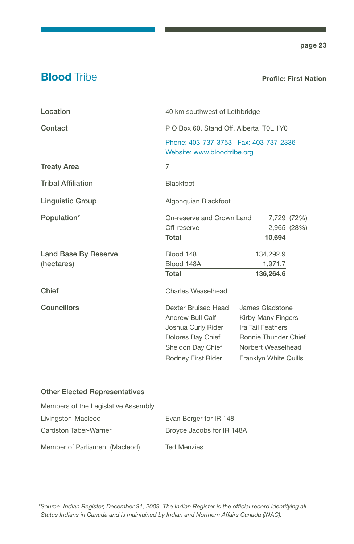### **Blood** Tribe

#### Profile: First Nation

| Location                                  | 40 km southwest of Lethbridge                                                                                                 |                                                                                                                                   |
|-------------------------------------------|-------------------------------------------------------------------------------------------------------------------------------|-----------------------------------------------------------------------------------------------------------------------------------|
| Contact                                   | P O Box 60, Stand Off, Alberta T0L 1Y0                                                                                        |                                                                                                                                   |
|                                           | Phone: 403-737-3753  Fax: 403-737-2336<br>Website: www.bloodtribe.org                                                         |                                                                                                                                   |
| <b>Treaty Area</b>                        | 7                                                                                                                             |                                                                                                                                   |
| <b>Tribal Affiliation</b>                 | Blackfoot                                                                                                                     |                                                                                                                                   |
| <b>Linguistic Group</b>                   | Algonquian Blackfoot                                                                                                          |                                                                                                                                   |
| Population*                               | On-reserve and Crown Land<br>Off-reserve<br><b>Total</b>                                                                      | 7,729 (72%)<br>2,965 (28%)<br>10,694                                                                                              |
| <b>Land Base By Reserve</b><br>(hectares) | Blood 148<br>Blood 148A<br>Total                                                                                              | 134,292.9<br>1,971.7<br>136,264.6                                                                                                 |
| Chief                                     | Charles Weaselhead                                                                                                            |                                                                                                                                   |
| Councillors                               | Dexter Bruised Head<br>Andrew Bull Calf<br>Joshua Curly Rider<br>Dolores Day Chief<br>Sheldon Day Chief<br>Rodney First Rider | James Gladstone<br>Kirby Many Fingers<br>Ira Tail Feathers<br>Ronnie Thunder Chief<br>Norbert Weaselhead<br>Franklyn White Quills |
| <b>Other Elected Representatives</b>      |                                                                                                                               |                                                                                                                                   |
| Members of the Legislative Assembly       |                                                                                                                               |                                                                                                                                   |
| Livingston-Macleod                        | Evan Berger for IR 148                                                                                                        |                                                                                                                                   |
| Cardston Taber-Warner                     | Broyce Jacobs for IR 148A                                                                                                     |                                                                                                                                   |
| Member of Parliament (Macleod)            | <b>Ted Menzies</b>                                                                                                            |                                                                                                                                   |

*\*Source: Indian Register, December 31, 2009. The Indian Register is the official record identifying all Status Indians in Canada and is maintained by Indian and Northern Affairs Canada (INAC).*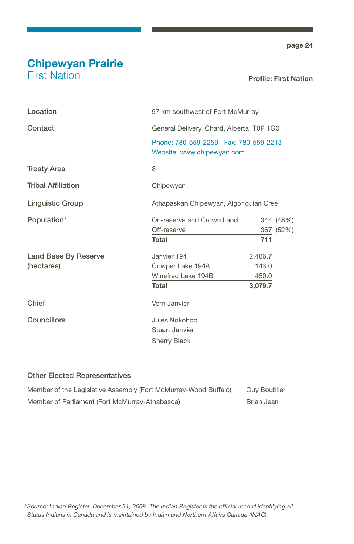# Chipewyan Prairie

First Nation

#### Profile: First Nation

| Location                                  | 97 km southwest of Fort McMurray                                       |                                      |                        |
|-------------------------------------------|------------------------------------------------------------------------|--------------------------------------|------------------------|
| Contact                                   | General Delivery, Chard, Alberta T0P 1G0                               |                                      |                        |
|                                           | Phone: 780-559-2259    Fax: 780-559-2213<br>Website: www.chipewyan.com |                                      |                        |
| <b>Treaty Area</b>                        | 8                                                                      |                                      |                        |
| <b>Tribal Affiliation</b>                 | Chipewyan                                                              |                                      |                        |
| <b>Linguistic Group</b>                   | Athapaskan Chipewyan, Algonquian Cree                                  |                                      |                        |
| Population*                               | On-reserve and Crown Land<br>Off-reserve<br>Total                      | 711                                  | 344 (48%)<br>367 (52%) |
| <b>Land Base By Reserve</b><br>(hectares) | Janvier 194<br>Cowper Lake 194A<br>Winefred Lake 194B<br><b>Total</b>  | 2,486.7<br>143.0<br>450.0<br>3,079.7 |                        |
| Chief                                     | Vern Janvier                                                           |                                      |                        |
| Councillors                               | Jules Nokohoo<br>Stuart Janvier<br><b>Sherry Black</b>                 |                                      |                        |

| Member of the Legislative Assembly (Fort McMurray-Wood Buffalo) | <b>Guv Boutilier</b> |
|-----------------------------------------------------------------|----------------------|
| Member of Parliament (Fort McMurray-Athabasca)                  | Brian Jean           |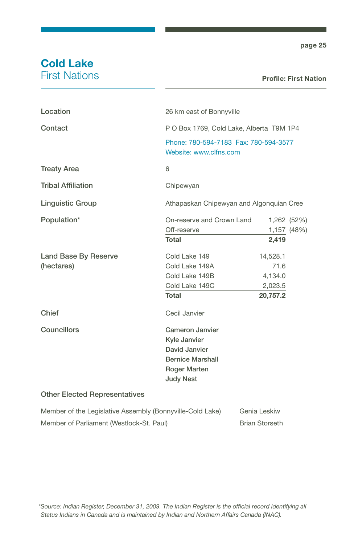### Cold Lake First Nations

#### Profile: First Nation

| Location                                                  | 26 km east of Bonnyville                                                                                               |                                                    |                            |
|-----------------------------------------------------------|------------------------------------------------------------------------------------------------------------------------|----------------------------------------------------|----------------------------|
| Contact                                                   | P O Box 1769, Cold Lake, Alberta T9M 1P4                                                                               |                                                    |                            |
|                                                           | Phone: 780-594-7183 Fax: 780-594-3577<br>Website: www.clfns.com                                                        |                                                    |                            |
| <b>Treaty Area</b>                                        | 6                                                                                                                      |                                                    |                            |
| <b>Tribal Affiliation</b>                                 | Chipewyan                                                                                                              |                                                    |                            |
| <b>Linguistic Group</b>                                   | Athapaskan Chipewyan and Algonquian Cree                                                                               |                                                    |                            |
| Population*                                               | On-reserve and Crown Land<br>Off-reserve<br><b>Total</b>                                                               | 2,419                                              | 1,262 (52%)<br>1,157 (48%) |
| Land Base By Reserve<br>(hectares)                        | Cold Lake 149<br>Cold Lake 149A<br>Cold Lake 149B<br>Cold Lake 149C<br><b>Total</b>                                    | 14,528.1<br>71.6<br>4,134.0<br>2,023.5<br>20,757.2 |                            |
| Chief                                                     | Cecil Janvier                                                                                                          |                                                    |                            |
| <b>Councillors</b>                                        | Cameron Janvier<br>Kyle Janvier<br>David Janvier<br><b>Bernice Marshall</b><br><b>Roger Marten</b><br><b>Judy Nest</b> |                                                    |                            |
| <b>Other Elected Representatives</b>                      |                                                                                                                        |                                                    |                            |
| Member of the Legislative Assembly (Bonnyville-Cold Lake) |                                                                                                                        | Genia Leskiw                                       |                            |

Member of Parliament (Westlock-St. Paul) Brian Storseth

*\*Source: Indian Register, December 31, 2009. The Indian Register is the official record identifying all Status Indians in Canada and is maintained by Indian and Northern Affairs Canada (INAC).*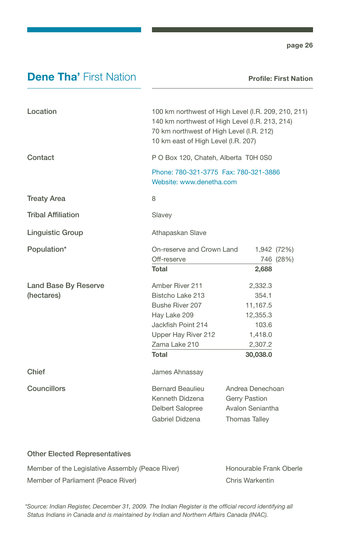### **Dene Tha' First Nation**

Profile: First Nation

| Location                    | 100 km northwest of High Level (I.R. 209, 210, 211)<br>140 km northwest of High Level (I.R. 213, 214)<br>70 km northwest of High Level (I.R. 212)<br>10 km east of High Level (I.R. 207) |                      |  |
|-----------------------------|------------------------------------------------------------------------------------------------------------------------------------------------------------------------------------------|----------------------|--|
| Contact                     | P O Box 120, Chateh, Alberta T0H 0S0                                                                                                                                                     |                      |  |
|                             | Phone: 780-321-3775  Fax: 780-321-3886<br>Website: www.denetha.com                                                                                                                       |                      |  |
| <b>Treaty Area</b>          | 8                                                                                                                                                                                        |                      |  |
| <b>Tribal Affiliation</b>   | Slavey                                                                                                                                                                                   |                      |  |
| <b>Linguistic Group</b>     | Athapaskan Slave                                                                                                                                                                         |                      |  |
| Population*                 | On-reserve and Crown Land                                                                                                                                                                | 1,942 (72%)          |  |
|                             | Off-reserve                                                                                                                                                                              | 746 (28%)            |  |
|                             | Total                                                                                                                                                                                    | 2,688                |  |
| <b>Land Base By Reserve</b> | Amber River 211                                                                                                                                                                          | 2,332.3              |  |
| (hectares)                  | Bistcho Lake 213                                                                                                                                                                         | 354.1                |  |
|                             | Bushe River 207                                                                                                                                                                          | 11,167.5             |  |
|                             | Hay Lake 209                                                                                                                                                                             | 12,355.3             |  |
|                             | Jackfish Point 214                                                                                                                                                                       | 103.6                |  |
|                             | Upper Hay River 212                                                                                                                                                                      | 1,418.0              |  |
|                             | Zama Lake 210                                                                                                                                                                            | 2,307.2              |  |
|                             | Total                                                                                                                                                                                    | 30,038.0             |  |
| Chief                       | James Ahnassay                                                                                                                                                                           |                      |  |
| Councillors                 | <b>Bernard Beaulieu</b>                                                                                                                                                                  | Andrea Denechoan     |  |
|                             | Kenneth Didzena<br>Gerry Pastion                                                                                                                                                         |                      |  |
|                             | Delbert Salopree                                                                                                                                                                         | Avalon Seniantha     |  |
|                             | Gabriel Didzena                                                                                                                                                                          | <b>Thomas Talley</b> |  |
|                             |                                                                                                                                                                                          |                      |  |

#### Other Elected Representatives

| Member of the Legislative Assembly (Peace River) | <b>Honourable Frank Oberle</b> |
|--------------------------------------------------|--------------------------------|
| Member of Parliament (Peace River)               | Chris Warkentin                |

*\*Source: Indian Register, December 31, 2009. The Indian Register is the official record identifying all Status Indians in Canada and is maintained by Indian and Northern Affairs Canada (INAC).*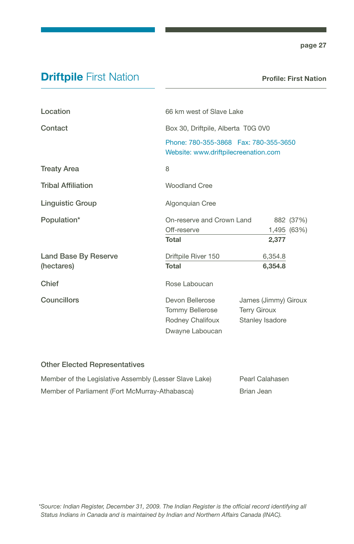### **Driftpile First Nation**

Profile: First Nation

| Location                           | 66 km west of Slave Lake                                                         |                                                                |           |
|------------------------------------|----------------------------------------------------------------------------------|----------------------------------------------------------------|-----------|
| Contact                            | Box 30, Driftpile, Alberta T0G 0V0                                               |                                                                |           |
|                                    | Phone: 780-355-3868    Fax: 780-355-3650<br>Website: www.driftpilecreenation.com |                                                                |           |
| <b>Treaty Area</b>                 | 8                                                                                |                                                                |           |
| <b>Tribal Affiliation</b>          | <b>Woodland Cree</b>                                                             |                                                                |           |
| <b>Linguistic Group</b>            | Algonquian Cree                                                                  |                                                                |           |
| Population*                        | On-reserve and Crown Land<br>Off-reserve<br>Total                                | 1,495 (63%)<br>2,377                                           | 882 (37%) |
| Land Base By Reserve<br>(hectares) | Driftpile River 150<br><b>Total</b>                                              | 6,354.8<br>6,354.8                                             |           |
| Chief                              | Rose Laboucan                                                                    |                                                                |           |
| Councillors                        | Devon Bellerose<br>Tommy Bellerose<br>Rodney Chalifoux<br>Dwayne Laboucan        | James (Jimmy) Giroux<br><b>Terry Giroux</b><br>Stanley Isadore |           |

| Member of the Legislative Assembly (Lesser Slave Lake) | Pearl Calahasen |
|--------------------------------------------------------|-----------------|
| Member of Parliament (Fort McMurray-Athabasca)         | Brian Jean      |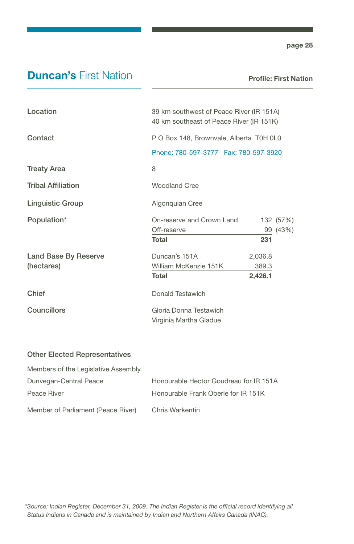### **Duncan's First Nation**

Profile: First Nation

| Location                  | 39 km southwest of Peace River (IR 151A)<br>40 km southeast of Peace River (IR 151K) |         |           |
|---------------------------|--------------------------------------------------------------------------------------|---------|-----------|
| Contact                   | P O Box 148, Brownvale, Alberta T0H 0L0                                              |         |           |
|                           | Phone: 780-597-3777    Fax: 780-597-3920                                             |         |           |
| <b>Treaty Area</b>        | 8                                                                                    |         |           |
| <b>Tribal Affiliation</b> | <b>Woodland Cree</b>                                                                 |         |           |
| <b>Linguistic Group</b>   | Algonquian Cree                                                                      |         |           |
| Population*               | On-reserve and Crown Land                                                            |         | 132 (57%) |
|                           | Off-reserve                                                                          |         | 99 (43%)  |
|                           | <b>Total</b>                                                                         | 231     |           |
| Land Base By Reserve      | Duncan's 151A                                                                        | 2,036.8 |           |
| (hectares)                | William McKenzie 151K                                                                | 389.3   |           |
|                           | <b>Total</b>                                                                         | 2,426.1 |           |
| Chief                     | Donald Testawich                                                                     |         |           |
| Councillors               | Gloria Donna Testawich                                                               |         |           |
|                           | Virginia Martha Gladue                                                               |         |           |
|                           |                                                                                      |         |           |

| Members of the Legislative Assembly |                                        |
|-------------------------------------|----------------------------------------|
| Dunvegan-Central Peace              | Honourable Hector Goudreau for IR 151A |
| Peace River                         | Honourable Frank Oberle for IR 151K    |
| Member of Parliament (Peace River)  | Chris Warkentin                        |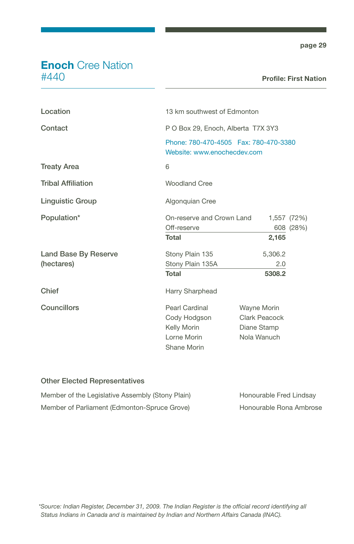### **Enoch** Cree Nation #440

| Location                  | 13 km southwest of Edmonton                                                                                   |                                                                   |                          |
|---------------------------|---------------------------------------------------------------------------------------------------------------|-------------------------------------------------------------------|--------------------------|
| Contact                   | P O Box 29, Enoch, Alberta T7X 3Y3<br>Phone: 780-470-4505    Fax: 780-470-3380<br>Website: www.enochecdev.com |                                                                   |                          |
|                           |                                                                                                               |                                                                   |                          |
| <b>Treaty Area</b>        | 6                                                                                                             |                                                                   |                          |
| <b>Tribal Affiliation</b> | Woodland Cree                                                                                                 |                                                                   |                          |
| Linguistic Group          | Algonquian Cree                                                                                               |                                                                   |                          |
| Population*               | On-reserve and Crown Land<br>Off-reserve                                                                      |                                                                   | 1,557 (72%)<br>608 (28%) |
|                           | <b>Total</b>                                                                                                  | 2,165                                                             |                          |
| Land Base By Reserve      | Stony Plain 135                                                                                               | 5,306.2                                                           |                          |
| (hectares)                | Stony Plain 135A                                                                                              | 2.0                                                               |                          |
|                           | <b>Total</b>                                                                                                  | 5308.2                                                            |                          |
| Chief                     | Harry Sharphead                                                                                               |                                                                   |                          |
| Councillors               | Pearl Cardinal<br>Cody Hodgson<br>Kelly Morin<br>Lorne Morin<br>Shane Morin                                   | <b>Wayne Morin</b><br>Clark Peacock<br>Diane Stamp<br>Nola Wanuch |                          |

| Member of the Legislative Assembly (Stony Plain) | Honourable Fred Lindsay |
|--------------------------------------------------|-------------------------|
| Member of Parliament (Edmonton-Spruce Grove)     | Honourable Rona Ambrose |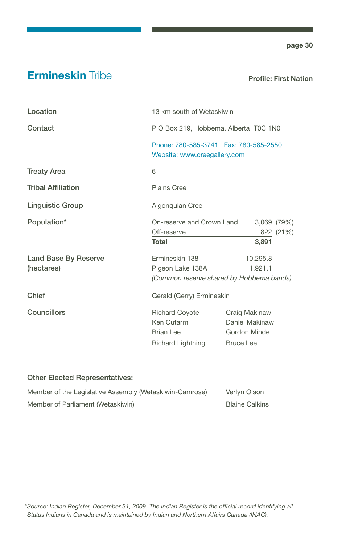### **Ermineskin Tribe**

Profile: First Nation

| Location                           | 13 km south of Wetaskiwin                                                      |                                                                     |
|------------------------------------|--------------------------------------------------------------------------------|---------------------------------------------------------------------|
| Contact                            | P O Box 219, Hobbema, Alberta T0C 1N0                                          |                                                                     |
|                                    | Phone: 780-585-3741    Fax: 780-585-2550<br>Website: www.creegallery.com       |                                                                     |
| <b>Treaty Area</b>                 | 6                                                                              |                                                                     |
| <b>Tribal Affiliation</b>          | Plains Cree                                                                    |                                                                     |
| <b>Linguistic Group</b>            | Algonquian Cree                                                                |                                                                     |
| Population*                        | On-reserve and Crown Land<br>Off-reserve<br><b>Total</b>                       | 3,069 (79%)<br>822 (21%)<br>3,891                                   |
| Land Base By Reserve<br>(hectares) | Ermineskin 138<br>Pigeon Lake 138A<br>(Common reserve shared by Hobbema bands) | 10,295.8<br>1,921.1                                                 |
| Chief                              | Gerald (Gerry) Ermineskin                                                      |                                                                     |
| Councillors                        | Richard Coyote<br>Ken Cutarm<br><b>Brian Lee</b><br>Richard Lightning          | Craig Makinaw<br>Daniel Makinaw<br>Gordon Minde<br><b>Bruce Lee</b> |

| Member of the Legislative Assembly (Wetaskiwin-Camrose) | Verlyn Olson          |
|---------------------------------------------------------|-----------------------|
| Member of Parliament (Wetaskiwin)                       | <b>Blaine Calkins</b> |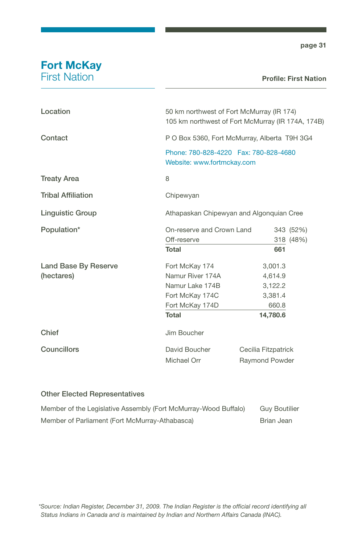### **Fort McKay** First Nation

#### Profile: First Nation

| Location                  |                                          | 50 km northwest of Fort McMurray (IR 174)<br>105 km northwest of Fort McMurray (IR 174A, 174B) |  |
|---------------------------|------------------------------------------|------------------------------------------------------------------------------------------------|--|
| Contact                   |                                          | P O Box 5360, Fort McMurray, Alberta T9H 3G4                                                   |  |
|                           | Website: www.fortmckay.com               | Phone: 780-828-4220    Fax: 780-828-4680                                                       |  |
| <b>Treaty Area</b>        | 8                                        |                                                                                                |  |
| <b>Tribal Affiliation</b> | Chipewyan                                |                                                                                                |  |
| <b>Linguistic Group</b>   |                                          | Athapaskan Chipewyan and Algonquian Cree                                                       |  |
| Population*               | On-reserve and Crown Land<br>Off-reserve | 343 (52%)<br>318 (48%)                                                                         |  |
|                           | <b>Total</b>                             | 661                                                                                            |  |
| Land Base By Reserve      | Fort McKay 174                           | 3,001.3                                                                                        |  |
| (hectares)                | Namur River 174A                         | 4,614.9                                                                                        |  |
|                           | Namur Lake 174B                          | 3,122.2                                                                                        |  |
|                           | Fort McKay 174C                          | 3.381.4                                                                                        |  |
|                           | Fort McKay 174D                          | 660.8                                                                                          |  |
|                           | <b>Total</b>                             | 14,780.6                                                                                       |  |
| Chief                     | Jim Boucher                              |                                                                                                |  |
| Councillors               | David Boucher                            | Cecilia Fitzpatrick                                                                            |  |
|                           | Michael Orr                              | <b>Raymond Powder</b>                                                                          |  |

| Member of the Legislative Assembly (Fort McMurray-Wood Buffalo) | <b>Guv Boutilier</b> |
|-----------------------------------------------------------------|----------------------|
| Member of Parliament (Fort McMurray-Athabasca)                  | Brian Jean           |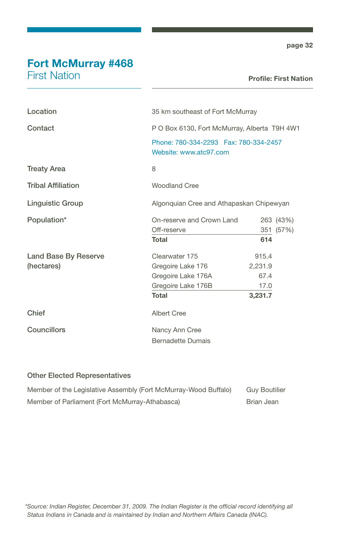### Fort McMurray #468

First Nation

#### Profile: First Nation

| Location                    | 35 km southeast of Fort McMurray                                   |         |           |
|-----------------------------|--------------------------------------------------------------------|---------|-----------|
| Contact                     | P O Box 6130, Fort McMurray, Alberta T9H 4W1                       |         |           |
|                             | Phone: 780-334-2293    Fax: 780-334-2457<br>Website: www.atc97.com |         |           |
| <b>Treaty Area</b>          | 8                                                                  |         |           |
| <b>Tribal Affiliation</b>   | <b>Woodland Cree</b>                                               |         |           |
| <b>Linguistic Group</b>     | Algonquian Cree and Athapaskan Chipewyan                           |         |           |
| Population*                 | On-reserve and Crown Land                                          |         | 263 (43%) |
|                             | Off-reserve                                                        |         | 351 (57%) |
|                             | Total                                                              | 614     |           |
| <b>Land Base By Reserve</b> | Clearwater 175                                                     | 915.4   |           |
| (hectares)                  | Gregoire Lake 176                                                  | 2,231.9 |           |
|                             | Gregoire Lake 176A                                                 | 67.4    |           |
|                             | Gregoire Lake 176B                                                 | 17.0    |           |
|                             | <b>Total</b>                                                       | 3,231.7 |           |
| Chief                       | Albert Cree                                                        |         |           |
| Councillors                 | Nancy Ann Cree                                                     |         |           |
|                             | <b>Bernadette Dumais</b>                                           |         |           |

| Member of the Legislative Assembly (Fort McMurray-Wood Buffalo) | <b>Guv Boutilier</b> |
|-----------------------------------------------------------------|----------------------|
| Member of Parliament (Fort McMurray-Athabasca)                  | Brian Jean           |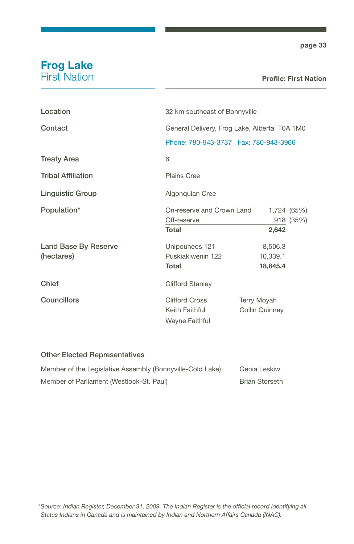### Frog Lake First Nation

| Location                  | 32 km southeast of Bonnyville                             |                                      |           |
|---------------------------|-----------------------------------------------------------|--------------------------------------|-----------|
| Contact                   | General Delivery, Frog Lake, Alberta T0A 1M0              |                                      |           |
|                           | Phone: 780-943-3737    Fax: 780-943-3966                  |                                      |           |
| <b>Treaty Area</b>        | 6                                                         |                                      |           |
| <b>Tribal Affiliation</b> | Plains Cree                                               |                                      |           |
| <b>Linguistic Group</b>   | Algonquian Cree                                           |                                      |           |
| Population*               | On-reserve and Crown Land<br>1,724 (65%)                  |                                      |           |
|                           | Off-reserve                                               |                                      | 918 (35%) |
|                           | Total                                                     | 2,642                                |           |
| Land Base By Reserve      | Unipouheos 121                                            | 8,506.3                              |           |
| (hectares)                | Puskiakiwenin 122                                         | 10,339.1                             |           |
|                           | Total                                                     | 18,845.4                             |           |
| Chief                     | <b>Clifford Stanley</b>                                   |                                      |           |
| Councillors               | <b>Clifford Cross</b><br>Keith Faithful<br>Wayne Faithful | Terry Moyah<br><b>Collin Quinney</b> |           |

| Member of the Legislative Assembly (Bonnyville-Cold Lake) | Genia Leskiw          |
|-----------------------------------------------------------|-----------------------|
| Member of Parliament (Westlock-St. Paul)                  | <b>Brian Storseth</b> |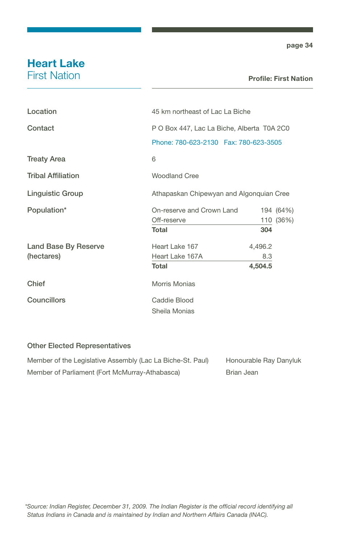# Heart Lake

First Nation

#### Profile: First Nation

| Location                  | 45 km northeast of Lac La Biche            |         |           |
|---------------------------|--------------------------------------------|---------|-----------|
| Contact                   | P O Box 447, Lac La Biche, Alberta T0A 2C0 |         |           |
|                           | Phone: 780-623-2130    Fax: 780-623-3505   |         |           |
| <b>Treaty Area</b>        | 6                                          |         |           |
| <b>Tribal Affiliation</b> | <b>Woodland Cree</b>                       |         |           |
| <b>Linguistic Group</b>   | Athapaskan Chipewyan and Algonquian Cree   |         |           |
| Population*               | On-reserve and Crown Land                  |         | 194 (64%) |
|                           | Off-reserve                                |         | 110 (36%) |
|                           | Total                                      | 304     |           |
| Land Base By Reserve      | Heart Lake 167                             | 4,496.2 |           |
| (hectares)                | Heart Lake 167A                            | 8.3     |           |
|                           | Total                                      | 4,504.5 |           |
| Chief                     | Morris Monias                              |         |           |
| <b>Councillors</b>        | Caddie Blood                               |         |           |
|                           | Sheila Monias                              |         |           |

| Member of the Legislative Assembly (Lac La Biche-St. Paul) | Honourable Ray Danyluk |
|------------------------------------------------------------|------------------------|
| Member of Parliament (Fort McMurray-Athabasca)             | Brian Jean             |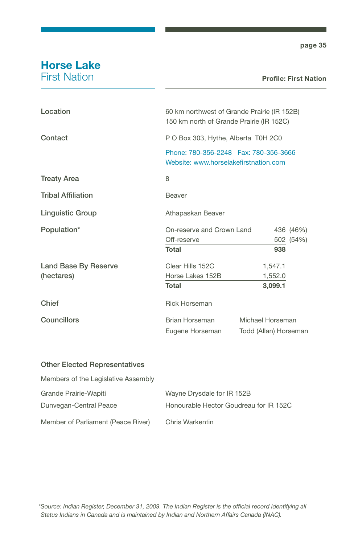### Horse Lake First Nation

| Location                  | 60 km northwest of Grande Prairie (IR 152B)<br>150 km north of Grande Prairie (IR 152C) |                       |           |
|---------------------------|-----------------------------------------------------------------------------------------|-----------------------|-----------|
| Contact                   | P O Box 303, Hythe, Alberta T0H 2C0                                                     |                       |           |
|                           | Phone: 780-356-2248  Fax: 780-356-3666<br>Website: www.horselakefirstnation.com         |                       |           |
| <b>Treaty Area</b>        | 8                                                                                       |                       |           |
| <b>Tribal Affiliation</b> | Beaver                                                                                  |                       |           |
| <b>Linguistic Group</b>   | Athapaskan Beaver                                                                       |                       |           |
| Population*               | On-reserve and Crown Land                                                               |                       | 436 (46%) |
|                           | Off-reserve                                                                             |                       | 502 (54%) |
|                           | Total                                                                                   | 938                   |           |
| Land Base By Reserve      | Clear Hills 152C                                                                        | 1,547.1               |           |
| (hectares)                | Horse Lakes 152B                                                                        | 1,552.0               |           |
|                           | <b>Total</b>                                                                            | 3,099.1               |           |
| Chief                     | <b>Rick Horseman</b>                                                                    |                       |           |
| <b>Councillors</b>        | Brian Horseman                                                                          | Michael Horseman      |           |
|                           | Eugene Horseman                                                                         | Todd (Allan) Horseman |           |

| Members of the Legislative Assembly |                                        |
|-------------------------------------|----------------------------------------|
| Grande Prairie-Wapiti               | Wayne Drysdale for IR 152B             |
| Dunvegan-Central Peace              | Honourable Hector Goudreau for IR 152C |
| Member of Parliament (Peace River)  | Chris Warkentin                        |

*\*Source: Indian Register, December 31, 2009. The Indian Register is the official record identifying all Status Indians in Canada and is maintained by Indian and Northern Affairs Canada (INAC).*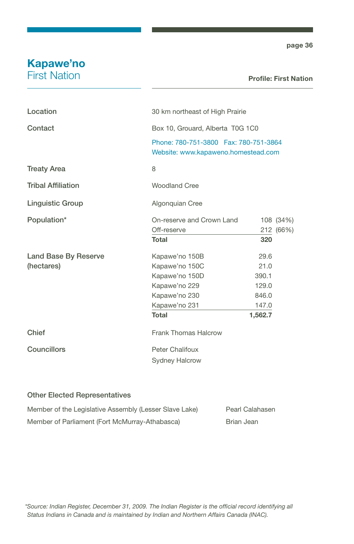### Kapawe'no First Nation

#### Profile: First Nation

| Location                  | 30 km northeast of High Prairie                                               |         |           |
|---------------------------|-------------------------------------------------------------------------------|---------|-----------|
| Contact                   | Box 10, Grouard, Alberta T0G 1C0                                              |         |           |
|                           | Phone: 780-751-3800  Fax: 780-751-3864<br>Website: www.kapaweno.homestead.com |         |           |
| <b>Treaty Area</b>        | 8                                                                             |         |           |
| <b>Tribal Affiliation</b> | <b>Woodland Cree</b>                                                          |         |           |
| <b>Linguistic Group</b>   | Algonquian Cree                                                               |         |           |
| Population*               | On-reserve and Crown Land                                                     |         | 108 (34%) |
|                           | Off-reserve                                                                   |         | 212 (66%) |
|                           | Total                                                                         | 320     |           |
| Land Base By Reserve      | Kapawe'no 150B                                                                | 29.6    |           |
| (hectares)                | Kapawe'no 150C                                                                | 21.0    |           |
|                           | Kapawe'no 150D                                                                | 390.1   |           |
|                           | Kapawe'no 229                                                                 | 129.0   |           |
|                           | Kapawe'no 230                                                                 | 846.0   |           |
|                           | Kapawe'no 231                                                                 | 147.0   |           |
|                           | <b>Total</b>                                                                  | 1,562.7 |           |
| Chief                     | <b>Frank Thomas Halcrow</b>                                                   |         |           |
| <b>Councillors</b>        | Peter Chalifoux                                                               |         |           |
|                           | <b>Sydney Halcrow</b>                                                         |         |           |

| Member of the Legislative Assembly (Lesser Slave Lake) | Pearl Calahasen |
|--------------------------------------------------------|-----------------|
| Member of Parliament (Fort McMurray-Athabasca)         | Brian Jean      |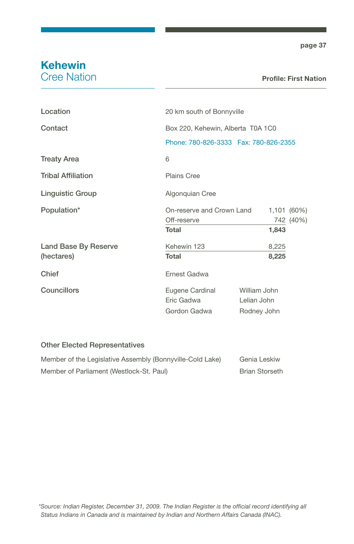### Kehewin Cree Nation

#### Profile: First Nation

| Location                  | 20 km south of Bonnyville                     |                                            |       |             |
|---------------------------|-----------------------------------------------|--------------------------------------------|-------|-------------|
| Contact                   | Box 220, Kehewin, Alberta T0A 1C0             |                                            |       |             |
|                           | Phone: 780-826-3333    Fax: 780-826-2355      |                                            |       |             |
| <b>Treaty Area</b>        | 6                                             |                                            |       |             |
| <b>Tribal Affiliation</b> | <b>Plains Cree</b>                            |                                            |       |             |
| <b>Linguistic Group</b>   | Algonquian Cree                               |                                            |       |             |
| Population*               | On-reserve and Crown Land                     |                                            |       | 1,101 (60%) |
|                           | Off-reserve                                   |                                            |       | 742 (40%)   |
|                           | Total                                         |                                            | 1,843 |             |
| Land Base By Reserve      | Kehewin 123                                   |                                            | 8,225 |             |
| (hectares)                | Total                                         |                                            | 8,225 |             |
| Chief                     | Ernest Gadwa                                  |                                            |       |             |
| <b>Councillors</b>        | Eugene Cardinal<br>Eric Gadwa<br>Gordon Gadwa | William John<br>Lelian John<br>Rodney John |       |             |
|                           |                                               |                                            |       |             |

| Member of the Legislative Assembly (Bonnyville-Cold Lake) | Genia Leskiw          |
|-----------------------------------------------------------|-----------------------|
| Member of Parliament (Westlock-St. Paul)                  | <b>Brian Storseth</b> |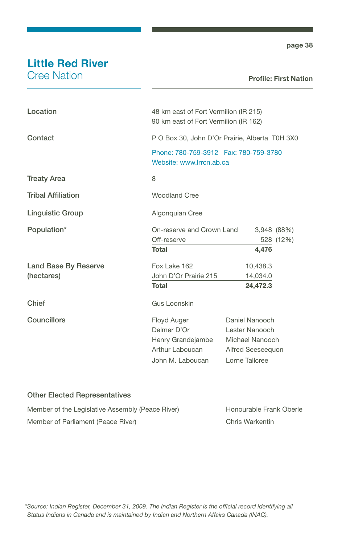## Little Red River

Cree Nation

#### Profile: First Nation

| Location                  | 48 km east of Fort Vermilion (IR 215)<br>90 km east of Fort Vermilion (IR 162)         |                                                                                            |
|---------------------------|----------------------------------------------------------------------------------------|--------------------------------------------------------------------------------------------|
| Contact                   | P O Box 30, John D'Or Prairie, Alberta T0H 3X0                                         |                                                                                            |
|                           | Phone: 780-759-3912  Fax: 780-759-3780<br>Website: www.lrrcn.ab.ca                     |                                                                                            |
| <b>Treaty Area</b>        | 8                                                                                      |                                                                                            |
| <b>Tribal Affiliation</b> | <b>Woodland Cree</b>                                                                   |                                                                                            |
| Linguistic Group          | Algonquian Cree                                                                        |                                                                                            |
| Population*               | On-reserve and Crown Land<br>Off-reserve                                               | 3,948 (88%)<br>528 (12%)                                                                   |
|                           | <b>Total</b>                                                                           | 4,476                                                                                      |
| Land Base By Reserve      | Fox Lake 162                                                                           | 10,438.3                                                                                   |
| (hectares)                | John D'Or Prairie 215                                                                  | 14,034.0                                                                                   |
|                           | <b>Total</b>                                                                           | 24,472.3                                                                                   |
| Chief                     | Gus Loonskin                                                                           |                                                                                            |
| Councillors               | Floyd Auger<br>Delmer D'Or<br>Henry Grandejambe<br>Arthur Laboucan<br>John M. Laboucan | Daniel Nanooch<br>Lester Nanooch<br>Michael Nanooch<br>Alfred Seeseequon<br>Lorne Tallcree |

#### Other Elected Representatives

| Member of the Legislative Assembly (Peace River) | Honourable Frank Oberle |
|--------------------------------------------------|-------------------------|
| Member of Parliament (Peace River)               | Chris Warkentin         |

*\*Source: Indian Register, December 31, 2009. The Indian Register is the official record identifying all Status Indians in Canada and is maintained by Indian and Northern Affairs Canada (INAC).*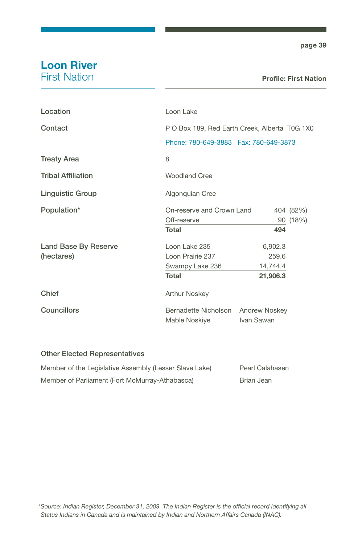### Loon River First Nation

| Loon Lake                                     |            |                                                                                             |
|-----------------------------------------------|------------|---------------------------------------------------------------------------------------------|
| P O Box 189, Red Earth Creek, Alberta T0G 1X0 |            |                                                                                             |
|                                               |            |                                                                                             |
| 8                                             |            |                                                                                             |
| Woodland Cree                                 |            |                                                                                             |
| Algonquian Cree                               |            |                                                                                             |
|                                               |            | 404 (82%)                                                                                   |
| Off-reserve                                   |            | 90 (18%)                                                                                    |
| <b>Total</b>                                  | 494        |                                                                                             |
| Loon Lake 235                                 | 6,902.3    |                                                                                             |
| Loon Prairie 237                              | 259.6      |                                                                                             |
| Swampy Lake 236                               | 14,744.4   |                                                                                             |
| <b>Total</b>                                  | 21,906.3   |                                                                                             |
| <b>Arthur Noskey</b>                          |            |                                                                                             |
| Bernadette Nicholson<br>Mable Noskiye         | Ivan Sawan |                                                                                             |
|                                               |            | Phone: 780-649-3883  Fax: 780-649-3873<br>On-reserve and Crown Land<br><b>Andrew Noskey</b> |

| Member of the Legislative Assembly (Lesser Slave Lake) | Pearl Calahasen |
|--------------------------------------------------------|-----------------|
| Member of Parliament (Fort McMurray-Athabasca)         | Brian Jean      |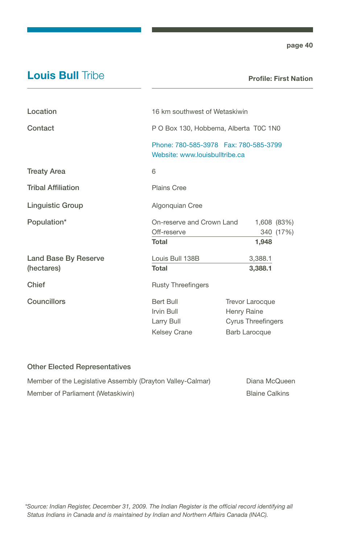### **Louis Bull Tribe**

Profile: First Nation

| Location                           | 16 km southwest of Wetaskiwin                                            |                                                                                            |                          |
|------------------------------------|--------------------------------------------------------------------------|--------------------------------------------------------------------------------------------|--------------------------|
| Contact                            | P O Box 130, Hobbema, Alberta T0C 1N0                                    |                                                                                            |                          |
|                                    | Phone: 780-585-3978  Fax: 780-585-3799<br>Website: www.louisbulltribe.ca |                                                                                            |                          |
| <b>Treaty Area</b>                 | 6                                                                        |                                                                                            |                          |
| <b>Tribal Affiliation</b>          | <b>Plains Cree</b>                                                       |                                                                                            |                          |
| <b>Linguistic Group</b>            | Algonquian Cree                                                          |                                                                                            |                          |
| Population*                        | On-reserve and Crown Land<br>Off-reserve<br>Total                        | 1,948                                                                                      | 1,608 (83%)<br>340 (17%) |
| Land Base By Reserve<br>(hectares) | Louis Bull 138B<br>Total                                                 | 3,388.1<br>3,388.1                                                                         |                          |
| Chief                              | <b>Rusty Threefingers</b>                                                |                                                                                            |                          |
| Councillors                        | Bert Bull<br>Irvin Bull<br>Larry Bull<br>Kelsey Crane                    | <b>Trevor Larocque</b><br>Henry Raine<br><b>Cyrus Threefingers</b><br><b>Barb Larocque</b> |                          |

| Member of the Legislative Assembly (Drayton Valley-Calmar) | Diana McQueen  |
|------------------------------------------------------------|----------------|
| Member of Parliament (Wetaskiwin)                          | Blaine Calkins |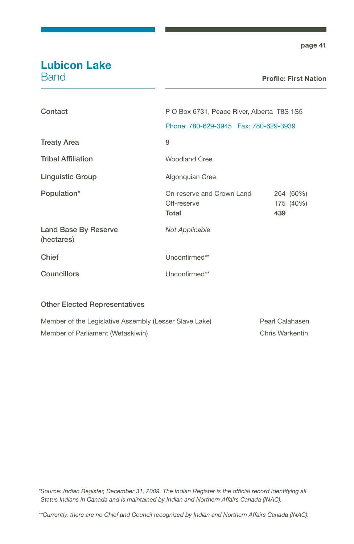### Lubicon Lake **Band**

#### Profile: First Nation

| Contact                            | P O Box 6731, Peace River, Alberta T8S 1S5        |     |                        |
|------------------------------------|---------------------------------------------------|-----|------------------------|
|                                    | Phone: 780-629-3945    Fax: 780-629-3939          |     |                        |
| <b>Treaty Area</b>                 | 8                                                 |     |                        |
| <b>Tribal Affiliation</b>          | Woodland Cree                                     |     |                        |
| <b>Linguistic Group</b>            | Algonquian Cree                                   |     |                        |
| Population*                        | On-reserve and Crown Land<br>Off-reserve<br>Total | 439 | 264 (60%)<br>175 (40%) |
| Land Base By Reserve<br>(hectares) | Not Applicable                                    |     |                        |
| Chief                              | Unconfirmed**                                     |     |                        |
| Councillors                        | Unconfirmed**                                     |     |                        |
|                                    |                                                   |     |                        |

#### Other Elected Representatives

| Member of the Legislative Assembly (Lesser Slave Lake) | Pearl Calahasen |
|--------------------------------------------------------|-----------------|
| Member of Parliament (Wetaskiwin)                      | Chris Warkentin |

*\*Source: Indian Register, December 31, 2009. The Indian Register is the official record identifying all Status Indians in Canada and is maintained by Indian and Northern Affairs Canada (INAC).*

*\*\*Currently, there are no Chief and Council recognized by Indian and Northern Affairs Canada (INAC).*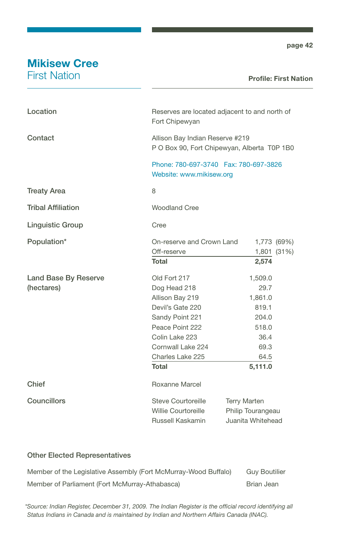# Mikisew Cree

First Nation

#### Profile: First Nation

| Location                    | Reserves are located adjacent to and north of<br>Fort Chipewyan                |                                                               |  |
|-----------------------------|--------------------------------------------------------------------------------|---------------------------------------------------------------|--|
| Contact                     | Allison Bay Indian Reserve #219<br>P O Box 90, Fort Chipewyan, Alberta T0P 1B0 |                                                               |  |
|                             | Phone: 780-697-3740  Fax: 780-697-3826<br>Website: www.mikisew.org             |                                                               |  |
| <b>Treaty Area</b>          | 8                                                                              |                                                               |  |
| <b>Tribal Affiliation</b>   | <b>Woodland Cree</b>                                                           |                                                               |  |
| <b>Linguistic Group</b>     | Cree                                                                           |                                                               |  |
| Population*                 | On-reserve and Crown Land                                                      | 1,773 (69%)                                                   |  |
|                             | Off-reserve                                                                    | 1,801 (31%)                                                   |  |
|                             | <b>Total</b>                                                                   | 2,574                                                         |  |
| <b>Land Base By Reserve</b> | Old Fort 217                                                                   | 1,509.0                                                       |  |
| (hectares)                  | Dog Head 218                                                                   | 29.7                                                          |  |
|                             | Allison Bay 219                                                                | 1,861.0                                                       |  |
|                             | Devil's Gate 220                                                               | 819.1                                                         |  |
|                             | Sandy Point 221                                                                | 204.0                                                         |  |
|                             | Peace Point 222                                                                | 518.0                                                         |  |
|                             | Colin Lake 223                                                                 | 36.4                                                          |  |
|                             | Cornwall Lake 224                                                              | 69.3                                                          |  |
|                             | Charles Lake 225                                                               | 64.5                                                          |  |
|                             | Total                                                                          | 5,111.0                                                       |  |
| Chief                       | Roxanne Marcel                                                                 |                                                               |  |
| Councillors                 | Steve Courtoreille<br>Willie Courtoreille<br>Russell Kaskamin                  | <b>Terry Marten</b><br>Philip Tourangeau<br>Juanita Whitehead |  |

#### Other Elected Representatives

| Member of the Legislative Assembly (Fort McMurray-Wood Buffalo) | <b>Guv Boutilier</b> |
|-----------------------------------------------------------------|----------------------|
| Member of Parliament (Fort McMurray-Athabasca)                  | Brian Jean           |

*\*Source: Indian Register, December 31, 2009. The Indian Register is the official record identifying all Status Indians in Canada and is maintained by Indian and Northern Affairs Canada (INAC).*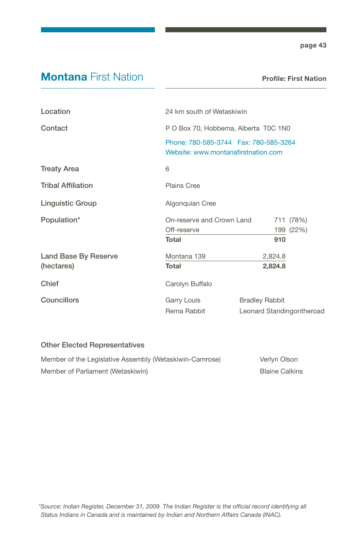### **Montana First Nation**

Profile: First Nation

| Location                  |                                                                                 | 24 km south of Wetaskiwin |                       |                           |
|---------------------------|---------------------------------------------------------------------------------|---------------------------|-----------------------|---------------------------|
| Contact                   | P O Box 70, Hobbema, Alberta T0C 1N0                                            |                           |                       |                           |
|                           | Phone: 780-585-3744    Fax: 780-585-3264<br>Website: www.montanafirstnation.com |                           |                       |                           |
| <b>Treaty Area</b>        | 6                                                                               |                           |                       |                           |
| <b>Tribal Affiliation</b> | <b>Plains Cree</b>                                                              |                           |                       |                           |
| <b>Linguistic Group</b>   | Algonquian Cree                                                                 |                           |                       |                           |
| Population*               | On-reserve and Crown Land                                                       |                           |                       | 711 (78%)                 |
|                           | Off-reserve                                                                     |                           |                       | 199 (22%)                 |
|                           | <b>Total</b>                                                                    |                           | 910                   |                           |
| Land Base By Reserve      | Montana 139                                                                     |                           | 2,824.8               |                           |
| (hectares)                | Total                                                                           |                           | 2,824.8               |                           |
| Chief                     | Carolyn Buffalo                                                                 |                           |                       |                           |
| <b>Councillors</b>        | Garry Louis                                                                     |                           | <b>Bradley Rabbit</b> |                           |
|                           | Rema Rabbit                                                                     |                           |                       | Leonard Standingontheroad |

| Member of the Legislative Assembly (Wetaskiwin-Camrose) | Verlyn Olson          |
|---------------------------------------------------------|-----------------------|
| Member of Parliament (Wetaskiwin)                       | <b>Blaine Calkins</b> |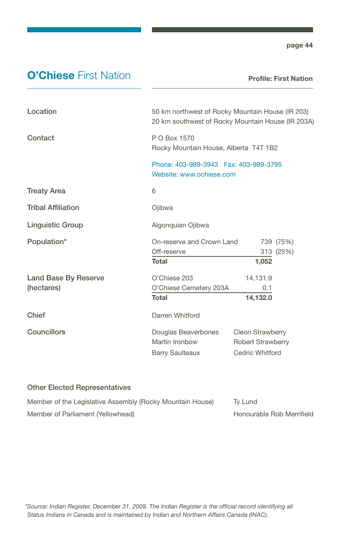### **O'Chiese First Nation**

Profile: First Nation

| Location                  | 50 km northwest of Rocky Mountain House (IR 203)<br>20 km southwest of Rocky Mountain House (IR 203A) |                          |  |
|---------------------------|-------------------------------------------------------------------------------------------------------|--------------------------|--|
| Contact                   | P O Box 1570<br>Rocky Mountain House, Alberta T4T 1B2                                                 |                          |  |
|                           | Phone: 403-989-3943  Fax: 403-989-3795<br>Website: www.ochiese.com                                    |                          |  |
| <b>Treaty Area</b>        | 6                                                                                                     |                          |  |
| <b>Tribal Affiliation</b> | Ojibwa                                                                                                |                          |  |
| <b>Linguistic Group</b>   | Algonquian Ojibwa                                                                                     |                          |  |
| Population*               | On-reserve and Crown Land                                                                             | 739 (75%)                |  |
|                           | Off-reserve                                                                                           | 313 (25%)                |  |
|                           | <b>Total</b>                                                                                          | 1,052                    |  |
| Land Base By Reserve      | O'Chiese 203                                                                                          | 14,131.9                 |  |
| (hectares)                | O'Chiese Cemetery 203A                                                                                | 0.1                      |  |
|                           | <b>Total</b>                                                                                          | 14,132.0                 |  |
| Chief                     | Darren Whitford                                                                                       |                          |  |
| Councillors               | Douglas Beaverbones                                                                                   | <b>Cleon Strawberry</b>  |  |
|                           | Martin Ironbow                                                                                        | <b>Robert Strawberry</b> |  |
|                           | <b>Barry Saulteaux</b>                                                                                | Cedric Whitford          |  |

| Member of the Legislative Assembly (Rocky Mountain House) | Tv Lund                   |
|-----------------------------------------------------------|---------------------------|
| Member of Parliament (Yellowhead)                         | Honourable Rob Merrifield |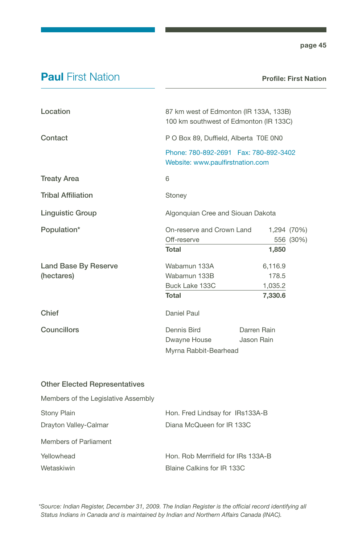### **Paul First Nation**

Profile: First Nation

| Location                           | 87 km west of Edmonton (IR 133A, 133B)<br>100 km southwest of Edmonton (IR 133C)                                      |                                        |                          |
|------------------------------------|-----------------------------------------------------------------------------------------------------------------------|----------------------------------------|--------------------------|
| Contact                            | P O Box 89, Duffield, Alberta T0E 0N0<br>Phone: 780-892-2691    Fax: 780-892-3402<br>Website: www.paulfirstnation.com |                                        |                          |
|                                    |                                                                                                                       |                                        |                          |
| <b>Treaty Area</b>                 | 6                                                                                                                     |                                        |                          |
| <b>Tribal Affiliation</b>          | Stoney                                                                                                                |                                        |                          |
| <b>Linguistic Group</b>            | Algonquian Cree and Siouan Dakota                                                                                     |                                        |                          |
| Population*                        | On-reserve and Crown Land<br>Off-reserve<br>Total                                                                     | 1,850                                  | 1,294 (70%)<br>556 (30%) |
| Land Base By Reserve<br>(hectares) | Wabamun 133A<br>Wabamun 133B<br>Buck Lake 133C<br><b>Total</b>                                                        | 6,116.9<br>178.5<br>1,035.2<br>7,330.6 |                          |
| Chief                              | Daniel Paul                                                                                                           |                                        |                          |
| <b>Councillors</b>                 | Dennis Bird<br>Dwayne House<br>Myrna Rabbit-Bearhead                                                                  | Darren Rain<br>Jason Rain              |                          |

#### Other Elected Representatives

| Members of the Legislative Assembly |                                    |
|-------------------------------------|------------------------------------|
| <b>Stony Plain</b>                  | Hon. Fred Lindsay for IRs133A-B    |
| Drayton Valley-Calmar               | Diana McQueen for IR 133C          |
| Members of Parliament               |                                    |
| Yellowhead                          | Hon. Rob Merrifield for IRs 133A-B |
| Wetaskiwin                          | Blaine Calkins for IR 133C         |

*\*Source: Indian Register, December 31, 2009. The Indian Register is the official record identifying all Status Indians in Canada and is maintained by Indian and Northern Affairs Canada (INAC).*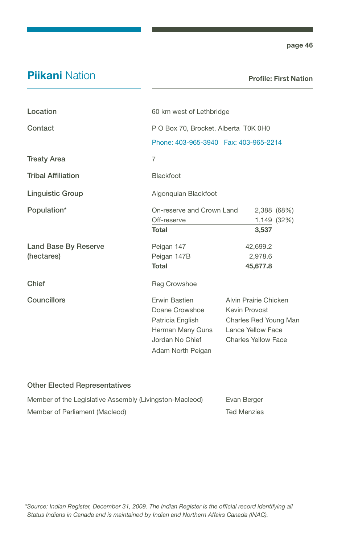### **Piikani Nation**

Profile: First Nation

| Location                  | 60 km west of Lethbridge                                                                                               |                                                                                                                    |                            |
|---------------------------|------------------------------------------------------------------------------------------------------------------------|--------------------------------------------------------------------------------------------------------------------|----------------------------|
| Contact                   | P O Box 70, Brocket, Alberta T0K 0H0                                                                                   |                                                                                                                    |                            |
|                           | Phone: 403-965-3940  Fax: 403-965-2214                                                                                 |                                                                                                                    |                            |
| <b>Treaty Area</b>        | $\overline{7}$                                                                                                         |                                                                                                                    |                            |
| <b>Tribal Affiliation</b> | <b>Blackfoot</b>                                                                                                       |                                                                                                                    |                            |
| <b>Linguistic Group</b>   | Algonquian Blackfoot                                                                                                   |                                                                                                                    |                            |
| Population*               | On-reserve and Crown Land<br>Off-reserve                                                                               |                                                                                                                    | 2,388 (68%)<br>1,149 (32%) |
|                           | Total                                                                                                                  | 3,537                                                                                                              |                            |
| Land Base By Reserve      | Peigan 147                                                                                                             | 42,699.2                                                                                                           |                            |
| (hectares)                | Peigan 147B<br><b>Total</b>                                                                                            | 2,978.6<br>45,677.8                                                                                                |                            |
| Chief                     | <b>Reg Crowshoe</b>                                                                                                    |                                                                                                                    |                            |
| Councillors               | <b>Frwin Bastien</b><br>Doane Crowshoe<br>Patricia English<br>Herman Many Guns<br>Jordan No Chief<br>Adam North Peigan | Alvin Prairie Chicken<br>Kevin Provost<br>Charles Red Young Man<br>Lance Yellow Face<br><b>Charles Yellow Face</b> |                            |

| Member of the Legislative Assembly (Livingston-Macleod) | Evan Berger        |
|---------------------------------------------------------|--------------------|
| Member of Parliament (Macleod)                          | <b>Ted Menzies</b> |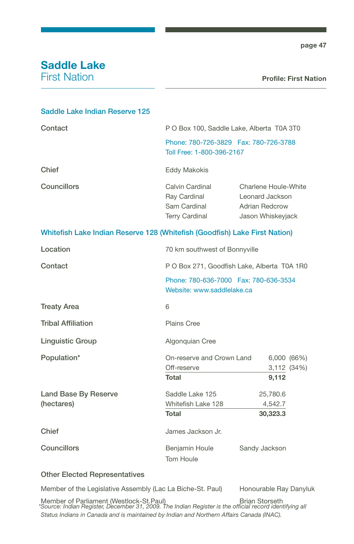### Saddle Lake First Nation

#### Saddle Lake Indian Reserve 125

| Contact            | P O Box 100, Saddle Lake, Alberta T0A 3T0<br>Phone: 780-726-3829    Fax: 780-726-3788<br>Toll Free: 1-800-396-2167 |                                                                                |
|--------------------|--------------------------------------------------------------------------------------------------------------------|--------------------------------------------------------------------------------|
|                    |                                                                                                                    |                                                                                |
| Chief              | Eddy Makokis                                                                                                       |                                                                                |
| <b>Councillors</b> | Calvin Cardinal<br>Ray Cardinal<br>Sam Cardinal<br><b>Terry Cardinal</b>                                           | Charlene Houle-White<br>Leonard Jackson<br>Adrian Redcrow<br>Jason Whiskeyjack |
|                    |                                                                                                                    |                                                                                |

#### Whitefish Lake Indian Reserve 128 (Whitefish (Goodfish) Lake First Nation)

| Location                  |                                                                      | 70 km southwest of Bonnyville               |  |
|---------------------------|----------------------------------------------------------------------|---------------------------------------------|--|
| Contact                   |                                                                      | P O Box 271, Goodfish Lake, Alberta T0A 1R0 |  |
|                           | Phone: 780-636-7000  Fax: 780-636-3534<br>Website: www.saddlelake.ca |                                             |  |
| <b>Treaty Area</b>        | 6                                                                    |                                             |  |
| <b>Tribal Affiliation</b> | <b>Plains Cree</b>                                                   |                                             |  |
| <b>Linguistic Group</b>   | Algonquian Cree                                                      |                                             |  |
| Population*               | On-reserve and Crown Land                                            | 6,000(66%)                                  |  |
|                           | Off-reserve                                                          | 3,112 (34%)                                 |  |
|                           | <b>Total</b>                                                         | 9,112                                       |  |
| Land Base By Reserve      | Saddle Lake 125                                                      | 25,780.6                                    |  |
| (hectares)                | Whitefish Lake 128                                                   | 4,542.7                                     |  |
|                           | Total                                                                | 30,323.3                                    |  |
| Chief                     | James Jackson Jr.                                                    |                                             |  |
| <b>Councillors</b>        | Benjamin Houle                                                       | Sandy Jackson                               |  |
|                           | Tom Houle                                                            |                                             |  |

#### Other Elected Representatives

Member of the Legislative Assembly (Lac La Biche-St. Paul) Honourable Ray Danyluk

Member of Parliament (Westlock-St.Paul)<br> *\*Source: Indian Register, December 31, 2009. The Indian Register is the official record identifying all Status Indians in Canada and is maintained by Indian and Northern Affairs Canada (INAC).*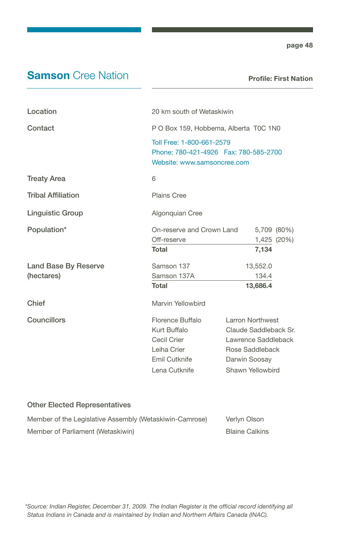### **Samson** Cree Nation

Profile: First Nation

| Location                           | 20 km south of Wetaskiwin                                                                            |                                                                                                                          |
|------------------------------------|------------------------------------------------------------------------------------------------------|--------------------------------------------------------------------------------------------------------------------------|
| Contact                            | P O Box 159, Hobbema, Alberta T0C 1N0                                                                |                                                                                                                          |
|                                    | Toll Free: 1-800-661-2579<br>Phone: 780-421-4926    Fax: 780-585-2700<br>Website: www.samsoncree.com |                                                                                                                          |
| <b>Treaty Area</b>                 | 6                                                                                                    |                                                                                                                          |
| <b>Tribal Affiliation</b>          | <b>Plains Cree</b>                                                                                   |                                                                                                                          |
| Linguistic Group                   | Algonquian Cree                                                                                      |                                                                                                                          |
| Population*                        | On-reserve and Crown Land<br>Off-reserve<br><b>Total</b>                                             | 5,709 (80%)<br>1,425 (20%)<br>7,134                                                                                      |
| Land Base By Reserve<br>(hectares) | Samson 137<br>Samson 137A<br>Total                                                                   | 13,552.0<br>134.4<br>13,686.4                                                                                            |
| Chief                              | Marvin Yellowbird                                                                                    |                                                                                                                          |
| Councillors                        | Florence Buffalo<br>Kurt Buffalo<br>Cecil Crier<br>Leiha Crier<br>Emil Cutknife<br>Lena Cutknife     | Larron Northwest<br>Claude Saddleback Sr.<br>Lawrence Saddleback<br>Rose Saddleback<br>Darwin Soosay<br>Shawn Yellowbird |

| Member of the Legislative Assembly (Wetaskiwin-Camrose) | Verlyn Olson          |
|---------------------------------------------------------|-----------------------|
| Member of Parliament (Wetaskiwin)                       | <b>Blaine Calkins</b> |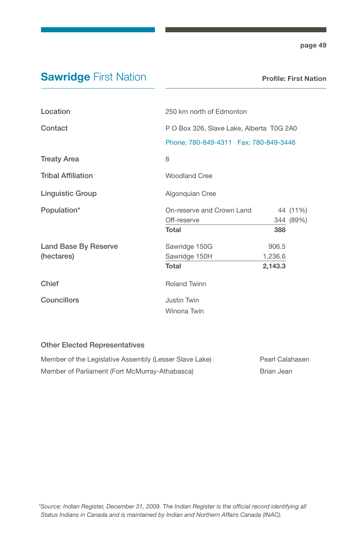# **Sawridge First Nation**

| Location                  | 250 km north of Edmonton                 |         |           |
|---------------------------|------------------------------------------|---------|-----------|
| Contact                   | P O Box 326, Slave Lake, Alberta T0G 2A0 |         |           |
|                           | Phone: 780-849-4311    Fax: 780-849-3446 |         |           |
| <b>Treaty Area</b>        | 8                                        |         |           |
| <b>Tribal Affiliation</b> | <b>Woodland Cree</b>                     |         |           |
| <b>Linguistic Group</b>   | Algonquian Cree                          |         |           |
| Population*               | On-reserve and Crown Land                |         | 44 (11%)  |
|                           | Off-reserve                              |         | 344 (89%) |
|                           | <b>Total</b>                             | 388     |           |
| Land Base By Reserve      | Sawridge 150G                            | 906.5   |           |
| (hectares)                | Sawridge 150H                            | 1,236.6 |           |
|                           | <b>Total</b>                             | 2,143.3 |           |
| Chief                     | <b>Roland Twinn</b>                      |         |           |
| Councillors               | Justin Twin                              |         |           |
|                           | Winona Twin                              |         |           |
|                           |                                          |         |           |

| Member of the Legislative Assembly (Lesser Slave Lake) | Pearl Calahasen |
|--------------------------------------------------------|-----------------|
| Member of Parliament (Fort McMurray-Athabasca)         | Brian Jean      |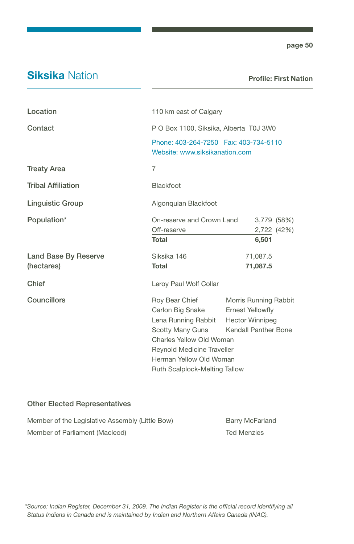### **Siksika Nation**

Profile: First Nation

| Location                  | 110 km east of Calgary                                                                                                                                                |                         |                            |
|---------------------------|-----------------------------------------------------------------------------------------------------------------------------------------------------------------------|-------------------------|----------------------------|
| Contact                   | P O Box 1100, Siksika, Alberta T0J 3W0                                                                                                                                |                         |                            |
|                           | Phone: 403-264-7250  Fax: 403-734-5110<br>Website: www.siksikanation.com                                                                                              |                         |                            |
| <b>Treaty Area</b>        | $\overline{7}$                                                                                                                                                        |                         |                            |
| <b>Tribal Affiliation</b> | <b>Blackfoot</b>                                                                                                                                                      |                         |                            |
| <b>Linguistic Group</b>   | Algonquian Blackfoot                                                                                                                                                  |                         |                            |
| Population*               | On-reserve and Crown Land<br>Off-reserve<br><b>Total</b>                                                                                                              |                         | 3,779 (58%)<br>2,722 (42%) |
|                           |                                                                                                                                                                       | 6,501                   |                            |
| Land Base By Reserve      | Siksika 146                                                                                                                                                           | 71,087.5                |                            |
| (hectares)                | <b>Total</b>                                                                                                                                                          | 71,087.5                |                            |
| Chief                     | Leroy Paul Wolf Collar                                                                                                                                                |                         |                            |
| Councillors               | Roy Bear Chief                                                                                                                                                        | Morris Running Rabbit   |                            |
|                           | Carlon Big Snake                                                                                                                                                      | <b>Ernest Yellowfly</b> |                            |
|                           | Lena Running Rabbit                                                                                                                                                   | <b>Hector Winnipeg</b>  |                            |
|                           | Scotty Many Guns<br><b>Kendall Panther Bone</b><br>Charles Yellow Old Woman<br>Reynold Medicine Traveller<br>Herman Yellow Old Woman<br>Ruth Scalplock-Melting Tallow |                         |                            |
|                           |                                                                                                                                                                       |                         |                            |
|                           |                                                                                                                                                                       |                         |                            |
|                           |                                                                                                                                                                       |                         |                            |
|                           |                                                                                                                                                                       |                         |                            |

| Member of the Legislative Assembly (Little Bow) | <b>Barry McFarland</b> |
|-------------------------------------------------|------------------------|
| Member of Parliament (Macleod)                  | <b>Ted Menzies</b>     |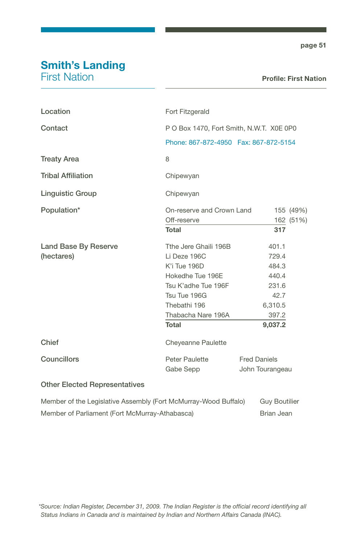# Smith's Landing

First Nation

| Location                                                        | Fort Fitzgerald                          |                      |           |
|-----------------------------------------------------------------|------------------------------------------|----------------------|-----------|
| Contact                                                         | P O Box 1470, Fort Smith, N.W.T. X0E 0P0 |                      |           |
|                                                                 | Phone: 867-872-4950  Fax: 867-872-5154   |                      |           |
| <b>Treaty Area</b>                                              | 8                                        |                      |           |
| <b>Tribal Affiliation</b>                                       | Chipewyan                                |                      |           |
| <b>Linguistic Group</b>                                         | Chipewyan                                |                      |           |
| Population*                                                     | On-reserve and Crown Land                |                      | 155 (49%) |
|                                                                 | Off-reserve                              |                      | 162 (51%) |
|                                                                 | <b>Total</b>                             | 317                  |           |
| Land Base By Reserve                                            | Tthe Jere Ghaili 196B                    | 401.1                |           |
| (hectares)                                                      | Li Deze 196C                             | 729.4                |           |
|                                                                 | K'i Tue 196D                             | 484.3                |           |
|                                                                 | Hokedhe Tue 196E                         | 440.4                |           |
|                                                                 | Tsu K'adhe Tue 196F                      | 231.6                |           |
|                                                                 | Tsu Tue 196G                             | 42.7                 |           |
|                                                                 | Thebathi 196                             | 6,310.5              |           |
|                                                                 | Thabacha Nare 196A                       | 397.2                |           |
|                                                                 | <b>Total</b>                             | 9,037.2              |           |
| Chief                                                           | Cheyeanne Paulette                       |                      |           |
| Councillors                                                     | Peter Paulette                           | <b>Fred Daniels</b>  |           |
|                                                                 | Gabe Sepp                                | John Tourangeau      |           |
| <b>Other Elected Representatives</b>                            |                                          |                      |           |
| Member of the Legislative Assembly (Fort McMurray-Wood Buffalo) |                                          | <b>Guy Boutilier</b> |           |

Member of Parliament (Fort McMurray-Athabasca) Brian Jean

*\*Source: Indian Register, December 31, 2009. The Indian Register is the official record identifying all Status Indians in Canada and is maintained by Indian and Northern Affairs Canada (INAC).*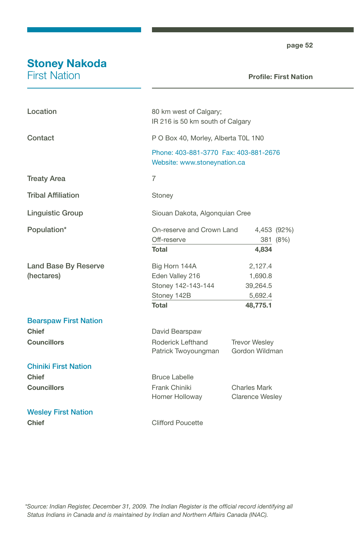# Stoney Nakoda

First Nation

#### Profile: First Nation

| Location                                  | 80 km west of Calgary;<br>IR 216 is 50 km south of Calgary                     |                                                       |
|-------------------------------------------|--------------------------------------------------------------------------------|-------------------------------------------------------|
| Contact                                   | P O Box 40, Morley, Alberta T0L 1N0                                            |                                                       |
|                                           | Phone: 403-881-3770 Fax: 403-881-2676<br>Website: www.stoneynation.ca          |                                                       |
| <b>Treaty Area</b>                        | $\overline{7}$                                                                 |                                                       |
| <b>Tribal Affiliation</b>                 | Stoney                                                                         |                                                       |
| <b>Linguistic Group</b>                   | Siouan Dakota, Algonquian Cree                                                 |                                                       |
| Population*                               | On-reserve and Crown Land<br>4,453 (92%)<br>Off-reserve<br>381 (8%)            |                                                       |
|                                           | <b>Total</b>                                                                   | 4,834                                                 |
| <b>Land Base By Reserve</b><br>(hectares) | Big Horn 144A<br>Eden Valley 216<br>Stoney 142-143-144<br>Stoney 142B<br>Total | 2,127.4<br>1,690.8<br>39,264.5<br>5,692.4<br>48,775.1 |
| <b>Bearspaw First Nation</b>              |                                                                                |                                                       |
| <b>Chief</b>                              | David Bearspaw                                                                 |                                                       |
| <b>Councillors</b>                        | Roderick Lefthand<br>Patrick Twoyoungman                                       | <b>Trevor Wesley</b><br>Gordon Wildman                |
| <b>Chiniki First Nation</b>               |                                                                                |                                                       |
| <b>Chief</b>                              | <b>Bruce Labelle</b>                                                           |                                                       |
| <b>Councillors</b>                        | Frank Chiniki<br>Homer Holloway                                                | Charles Mark<br><b>Clarence Wesley</b>                |
| <b>Wesley First Nation</b>                |                                                                                |                                                       |
| <b>Chief</b>                              | <b>Clifford Poucette</b>                                                       |                                                       |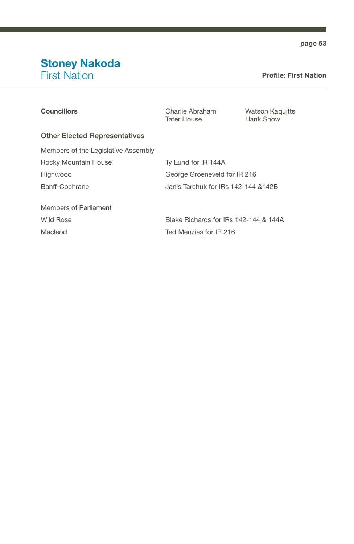### Stoney Nakoda First Nation

#### Profile: First Nation

| <b>Councillors</b>                   | Charlie Abraham<br><b>Tater House</b> | <b>Watson Kaguitts</b><br>Hank Snow |
|--------------------------------------|---------------------------------------|-------------------------------------|
| <b>Other Elected Representatives</b> |                                       |                                     |
| Members of the Legislative Assembly  |                                       |                                     |
| Rocky Mountain House                 | Ty Lund for IR 144A                   |                                     |
| Highwood                             | George Groeneveld for IR 216          |                                     |
| Banff-Cochrane                       | Janis Tarchuk for IRs 142-144 & 142B  |                                     |
| Members of Parliament                |                                       |                                     |
| Wild Rose                            | Blake Richards for IRs 142-144 & 144A |                                     |
| Macleod                              | Ted Menzies for IR 216                |                                     |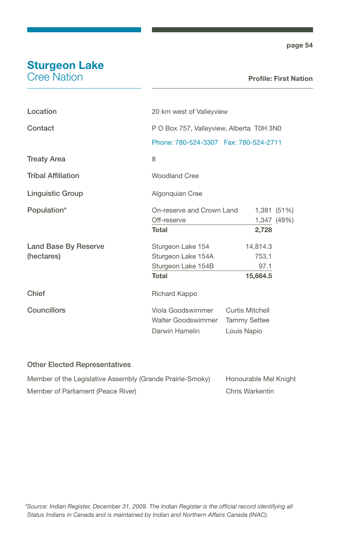# Sturgeon Lake

Cree Nation

#### Profile: First Nation

| Location                  | 20 km west of Valleyview                 |                     |             |
|---------------------------|------------------------------------------|---------------------|-------------|
| Contact                   | P O Box 757, Valleyview, Alberta T0H 3N0 |                     |             |
|                           | Phone: 780-524-3307    Fax: 780-524-2711 |                     |             |
| <b>Treaty Area</b>        | 8                                        |                     |             |
| <b>Tribal Affiliation</b> | <b>Woodland Cree</b>                     |                     |             |
| <b>Linguistic Group</b>   | Algonquian Cree                          |                     |             |
| Population*               | On-reserve and Crown Land                |                     | 1,381 (51%) |
|                           | Off-reserve                              |                     | 1,347 (49%) |
|                           | Total                                    | 2,728               |             |
| Land Base By Reserve      | Sturgeon Lake 154                        | 14,814.3            |             |
| (hectares)                | Sturgeon Lake 154A                       | 753.1               |             |
|                           | Sturgeon Lake 154B                       | 97.1                |             |
|                           | <b>Total</b>                             | 15,664.5            |             |
| Chief                     | Richard Kappo                            |                     |             |
| Councillors               | Viola Goodswimmer                        | Curtis Mitchell     |             |
|                           | Walter Goodswimmer                       | <b>Tammy Settee</b> |             |
|                           | Darwin Hamelin                           | Louis Napio         |             |

| Member of the Legislative Assembly (Grande Prairie-Smoky) | Honourable Mel Knight |
|-----------------------------------------------------------|-----------------------|
| Member of Parliament (Peace River)                        | Chris Warkentin       |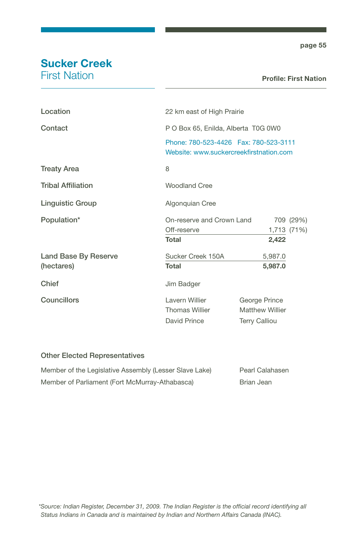# Sucker Creek

First Nation

#### Profile: First Nation

| Location                  | 22 km east of High Prairie                                                          |                                                                 |           |
|---------------------------|-------------------------------------------------------------------------------------|-----------------------------------------------------------------|-----------|
| Contact                   | P O Box 65, Enilda, Alberta T0G 0W0                                                 |                                                                 |           |
|                           | Phone: 780-523-4426    Fax: 780-523-3111<br>Website: www.suckercreekfirstnation.com |                                                                 |           |
| <b>Treaty Area</b>        | 8                                                                                   |                                                                 |           |
| <b>Tribal Affiliation</b> | <b>Woodland Cree</b>                                                                |                                                                 |           |
| <b>Linguistic Group</b>   | Algonquian Cree                                                                     |                                                                 |           |
| Population*               | On-reserve and Crown Land                                                           |                                                                 | 709 (29%) |
|                           | Off-reserve                                                                         | 1,713 (71%)                                                     |           |
|                           | <b>Total</b>                                                                        | 2,422                                                           |           |
| Land Base By Reserve      | Sucker Creek 150A                                                                   | 5,987.0                                                         |           |
| (hectares)                | Total                                                                               | 5,987.0                                                         |           |
| Chief                     | Jim Badger                                                                          |                                                                 |           |
| Councillors               | Lavern Willier<br>Thomas Willier<br>David Prince                                    | George Prince<br><b>Matthew Willier</b><br><b>Terry Calliou</b> |           |
|                           |                                                                                     |                                                                 |           |

| Member of the Legislative Assembly (Lesser Slave Lake) | Pearl Calahasen |
|--------------------------------------------------------|-----------------|
| Member of Parliament (Fort McMurray-Athabasca)         | Brian Jean      |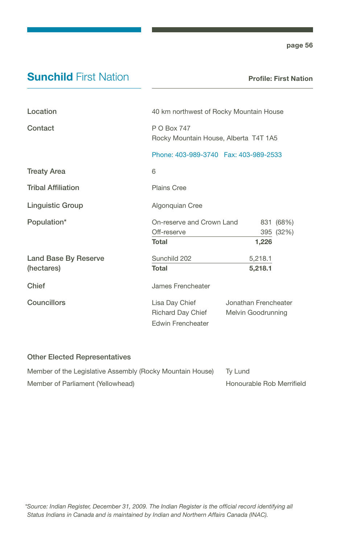### **Sunchild First Nation**

Profile: First Nation

| Location                           | 40 km northwest of Rocky Mountain House                         |                                            |
|------------------------------------|-----------------------------------------------------------------|--------------------------------------------|
| Contact                            | P O Box 747<br>Rocky Mountain House, Alberta T4T 1A5            |                                            |
|                                    | Phone: 403-989-3740  Fax: 403-989-2533                          |                                            |
| <b>Treaty Area</b>                 | 6                                                               |                                            |
| <b>Tribal Affiliation</b>          | Plains Cree                                                     |                                            |
| Linguistic Group                   | Algonquian Cree                                                 |                                            |
| Population*                        | On-reserve and Crown Land<br>Off-reserve<br>Total               | 831 (68%)<br>395 (32%)<br>1,226            |
| Land Base By Reserve<br>(hectares) | Sunchild 202<br>Total                                           | 5,218.1<br>5,218.1                         |
| Chief                              | James Frencheater                                               |                                            |
| <b>Councillors</b>                 | Lisa Day Chief<br>Richard Day Chief<br><b>Edwin Frencheater</b> | Jonathan Frencheater<br>Melvin Goodrunning |

| Member of the Legislative Assembly (Rocky Mountain House) | Tv Lund                   |
|-----------------------------------------------------------|---------------------------|
| Member of Parliament (Yellowhead)                         | Honourable Rob Merrifield |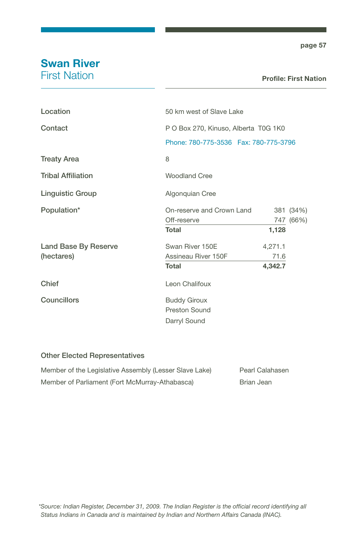# Swan River

First Nation

#### Profile: First Nation

| 50 km west of Slave Lake                                                         |         |           |
|----------------------------------------------------------------------------------|---------|-----------|
| P O Box 270, Kinuso, Alberta T0G 1K0<br>Phone: 780-775-3536    Fax: 780-775-3796 |         |           |
|                                                                                  |         |           |
| 8                                                                                |         |           |
| Woodland Cree                                                                    |         |           |
| Algonquian Cree                                                                  |         |           |
| On-reserve and Crown Land                                                        |         | 381 (34%) |
| Off-reserve                                                                      |         | 747 (66%) |
| <b>Total</b>                                                                     | 1,128   |           |
| Swan River 150E                                                                  | 4,271.1 |           |
| Assineau River 150F                                                              | 71.6    |           |
| Total                                                                            | 4,342.7 |           |
| Leon Chalifoux                                                                   |         |           |
| <b>Buddy Giroux</b>                                                              |         |           |
| Preston Sound                                                                    |         |           |
| Darryl Sound                                                                     |         |           |
|                                                                                  |         |           |

| Member of the Legislative Assembly (Lesser Slave Lake) | Pearl Calahasen |
|--------------------------------------------------------|-----------------|
| Member of Parliament (Fort McMurray-Athabasca)         | Brian Jean      |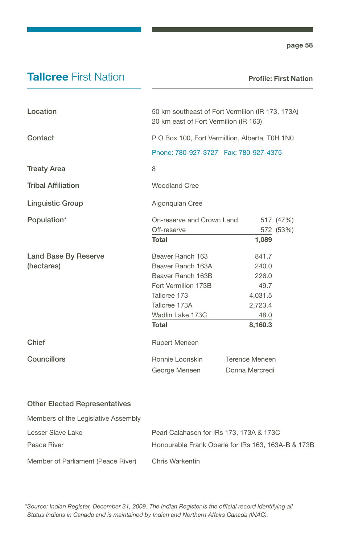### **Tallcree First Nation**

Profile: First Nation

| Location                  | 50 km southeast of Fort Vermilion (IR 173, 173A)<br>20 km east of Fort Vermilion (IR 163) |                       |           |
|---------------------------|-------------------------------------------------------------------------------------------|-----------------------|-----------|
| Contact                   | P O Box 100, Fort Vermillion, Alberta T0H 1N0<br>Phone: 780-927-3727    Fax: 780-927-4375 |                       |           |
|                           |                                                                                           |                       |           |
| <b>Treaty Area</b>        | 8                                                                                         |                       |           |
| <b>Tribal Affiliation</b> | <b>Woodland Cree</b>                                                                      |                       |           |
| <b>Linguistic Group</b>   | Algonquian Cree                                                                           |                       |           |
| Population*               | On-reserve and Crown Land                                                                 |                       | 517 (47%) |
|                           | Off-reserve                                                                               | 572                   | (53%)     |
|                           | <b>Total</b>                                                                              | 1,089                 |           |
| Land Base By Reserve      | Beaver Ranch 163                                                                          | 841.7                 |           |
| (hectares)                | Beaver Ranch 163A                                                                         | 240.0                 |           |
|                           | Beaver Ranch 163B                                                                         | 226.0                 |           |
|                           | Fort Vermilion 173B                                                                       | 49.7                  |           |
|                           | Tallcree 173                                                                              | 4,031.5               |           |
|                           | Tallcree 173A                                                                             | 2,723.4               |           |
|                           | Wadlin Lake 173C                                                                          | 48.0                  |           |
|                           | <b>Total</b>                                                                              | 8,160.3               |           |
| Chief                     | <b>Rupert Meneen</b>                                                                      |                       |           |
| Councillors               | Ronnie Loonskin                                                                           | <b>Terence Meneen</b> |           |
|                           | George Meneen                                                                             | Donna Mercredi        |           |

#### Other Elected Representatives

Members of the Legislative Assembly

| Lesser Slave Lake                  | Pearl Calahasen for IRs 173, 173A & 173C           |
|------------------------------------|----------------------------------------------------|
| Peace River                        | Honourable Frank Oberle for IRs 163, 163A-B & 173B |
| Member of Parliament (Peace River) | Chris Warkentin                                    |

*\*Source: Indian Register, December 31, 2009. The Indian Register is the official record identifying all Status Indians in Canada and is maintained by Indian and Northern Affairs Canada (INAC).*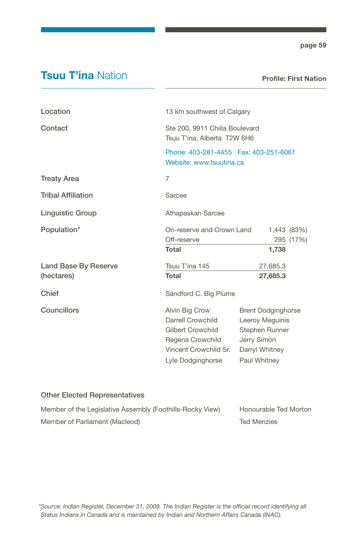### **Tsuu T'ina Nation**

Profile: First Nation

| Location                           | 13 km southwest of Calgary                                                                                                            |                                                                                                                 |  |
|------------------------------------|---------------------------------------------------------------------------------------------------------------------------------------|-----------------------------------------------------------------------------------------------------------------|--|
| Contact                            | Ste 200, 9911 Chiila Boulevard<br>Tsuu T'ina, Alberta T2W 6H6<br>Phone: 403-281-4455    Fax: 403-251-6061<br>Website: www.tsuutina.ca |                                                                                                                 |  |
|                                    |                                                                                                                                       |                                                                                                                 |  |
| <b>Treaty Area</b>                 | 7                                                                                                                                     |                                                                                                                 |  |
| <b>Tribal Affiliation</b>          | Sarcee                                                                                                                                |                                                                                                                 |  |
| <b>Linguistic Group</b>            | Athapaskan Sarcee                                                                                                                     |                                                                                                                 |  |
| Population*                        | On-reserve and Crown Land<br>1,443 (83%)<br>Off-reserve<br>295 (17%)<br>Total<br>1,738                                                |                                                                                                                 |  |
| Land Base By Reserve<br>(hectares) | Tsuu T'ina 145<br><b>Total</b>                                                                                                        | 27,685.3<br>27,685.3                                                                                            |  |
| Chief                              | Sandford C. Big Plume                                                                                                                 |                                                                                                                 |  |
| Councillors                        | Alvin Big Crow<br>Darrell Crowchild<br>Gilbert Crowchild<br>Regena Crowchild<br>Vincent Crowchild Sr.<br>Lyle Dodginghorse            | <b>Brent Dodginghorse</b><br>Leeroy Meguinis<br>Stephen Runner<br>Jerry Simon<br>Darryl Whitney<br>Paul Whitney |  |

| Member of the Legislative Assembly (Foothills-Rocky View) | Honourable Ted Morton |
|-----------------------------------------------------------|-----------------------|
| Member of Parliament (Macleod)                            | <b>Ted Menzies</b>    |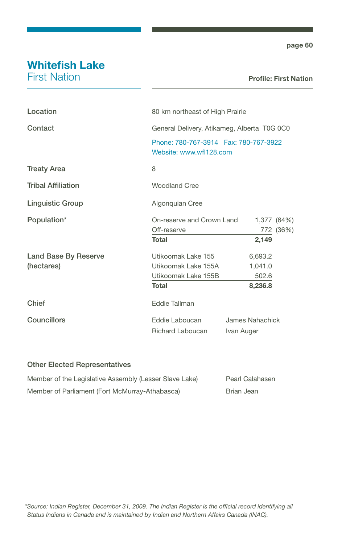# Whitefish Lake

First Nation

#### Profile: First Nation

| Location                  | 80 km northeast of High Prairie                                   |                 |
|---------------------------|-------------------------------------------------------------------|-----------------|
| Contact                   | General Delivery, Atikameg, Alberta T0G 0C0                       |                 |
|                           | Phone: 780-767-3914  Fax: 780-767-3922<br>Website: www.wfl128.com |                 |
| <b>Treaty Area</b>        | 8                                                                 |                 |
| <b>Tribal Affiliation</b> | <b>Woodland Cree</b>                                              |                 |
| <b>Linguistic Group</b>   | Algonquian Cree                                                   |                 |
| Population*               | On-reserve and Crown Land                                         | 1,377 (64%)     |
|                           | Off-reserve                                                       | 772 (36%)       |
|                           | <b>Total</b>                                                      | 2,149           |
| Land Base By Reserve      | Utikoomak Lake 155                                                | 6,693.2         |
| (hectares)                | Utikoomak Lake 155A                                               | 1,041.0         |
|                           | Utikoomak Lake 155B                                               | 502.6           |
|                           | <b>Total</b>                                                      | 8,236.8         |
| Chief                     | Eddie Tallman                                                     |                 |
| Councillors               | Eddie Laboucan                                                    | James Nahachick |
|                           | Richard Laboucan                                                  | Ivan Auger      |

| Member of the Legislative Assembly (Lesser Slave Lake) | Pearl Calahasen |
|--------------------------------------------------------|-----------------|
| Member of Parliament (Fort McMurray-Athabasca)         | Brian Jean      |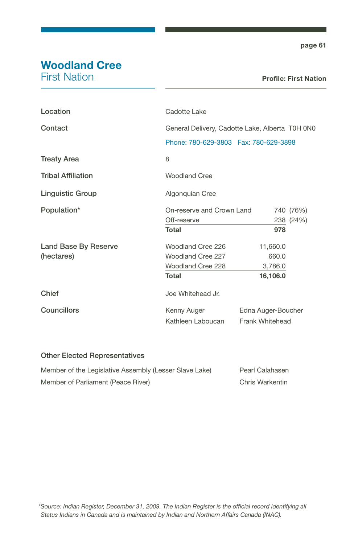# Woodland Cree

First Nation

| Location                  | Cadotte Lake                                    |                    |           |
|---------------------------|-------------------------------------------------|--------------------|-----------|
| Contact                   | General Delivery, Cadotte Lake, Alberta T0H 0N0 |                    |           |
|                           | Phone: 780-629-3803    Fax: 780-629-3898        |                    |           |
| <b>Treaty Area</b>        | 8                                               |                    |           |
| <b>Tribal Affiliation</b> | <b>Woodland Cree</b>                            |                    |           |
| Linguistic Group          | Algonquian Cree                                 |                    |           |
| Population*               | On-reserve and Crown Land                       |                    | 740 (76%) |
|                           | Off-reserve                                     |                    | 238 (24%) |
|                           | Total                                           | 978                |           |
| Land Base By Reserve      | Woodland Cree 226                               | 11,660.0           |           |
| (hectares)                | Woodland Cree 227                               | 660.0              |           |
|                           | Woodland Cree 228                               | 3,786.0            |           |
|                           | <b>Total</b>                                    | 16,106.0           |           |
| Chief                     | Joe Whitehead Jr.                               |                    |           |
| <b>Councillors</b>        | Kenny Auger                                     | Edna Auger-Boucher |           |
|                           | Kathleen Laboucan                               | Frank Whitehead    |           |

| Member of the Legislative Assembly (Lesser Slave Lake) | Pearl Calahasen |
|--------------------------------------------------------|-----------------|
| Member of Parliament (Peace River)                     | Chris Warkentin |